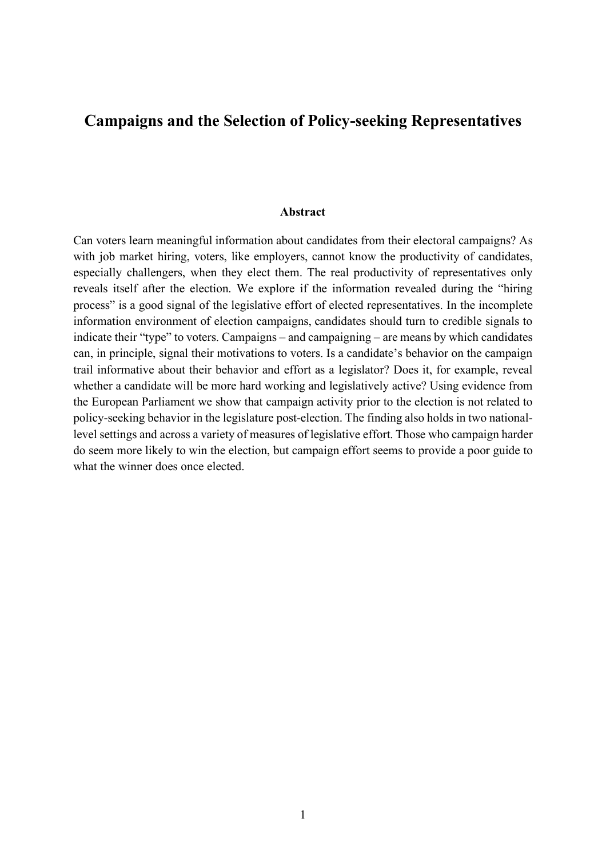# **Campaigns and the Selection of Policy-seeking Representatives**

#### **Abstract**

Can voters learn meaningful information about candidates from their electoral campaigns? As with job market hiring, voters, like employers, cannot know the productivity of candidates, especially challengers, when they elect them. The real productivity of representatives only reveals itself after the election. We explore if the information revealed during the "hiring process" is a good signal of the legislative effort of elected representatives. In the incomplete information environment of election campaigns, candidates should turn to credible signals to indicate their "type" to voters. Campaigns – and campaigning – are means by which candidates can, in principle, signal their motivations to voters. Is a candidate's behavior on the campaign trail informative about their behavior and effort as a legislator? Does it, for example, reveal whether a candidate will be more hard working and legislatively active? Using evidence from the European Parliament we show that campaign activity prior to the election is not related to policy-seeking behavior in the legislature post-election. The finding also holds in two nationallevel settings and across a variety of measures of legislative effort. Those who campaign harder do seem more likely to win the election, but campaign effort seems to provide a poor guide to what the winner does once elected.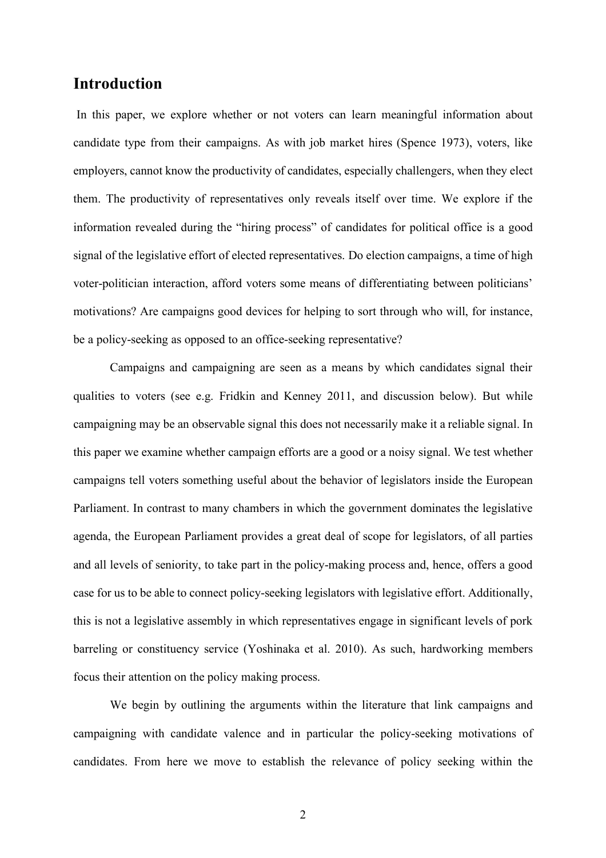### **Introduction**

In this paper, we explore whether or not voters can learn meaningful information about candidate type from their campaigns. As with job market hires (Spence 1973), voters, like employers, cannot know the productivity of candidates, especially challengers, when they elect them. The productivity of representatives only reveals itself over time. We explore if the information revealed during the "hiring process" of candidates for political office is a good signal of the legislative effort of elected representatives. Do election campaigns, a time of high voter-politician interaction, afford voters some means of differentiating between politicians' motivations? Are campaigns good devices for helping to sort through who will, for instance, be a policy-seeking as opposed to an office-seeking representative?

Campaigns and campaigning are seen as a means by which candidates signal their qualities to voters (see e.g. Fridkin and Kenney 2011, and discussion below). But while campaigning may be an observable signal this does not necessarily make it a reliable signal. In this paper we examine whether campaign efforts are a good or a noisy signal. We test whether campaigns tell voters something useful about the behavior of legislators inside the European Parliament. In contrast to many chambers in which the government dominates the legislative agenda, the European Parliament provides a great deal of scope for legislators, of all parties and all levels of seniority, to take part in the policy-making process and, hence, offers a good case for us to be able to connect policy-seeking legislators with legislative effort. Additionally, this is not a legislative assembly in which representatives engage in significant levels of pork barreling or constituency service (Yoshinaka et al. 2010). As such, hardworking members focus their attention on the policy making process.

We begin by outlining the arguments within the literature that link campaigns and campaigning with candidate valence and in particular the policy-seeking motivations of candidates. From here we move to establish the relevance of policy seeking within the

2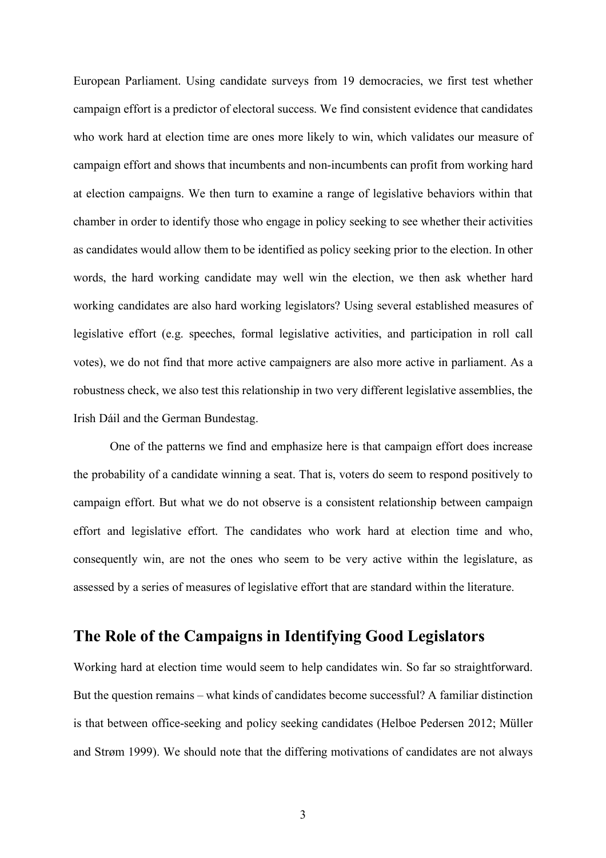European Parliament. Using candidate surveys from 19 democracies, we first test whether campaign effort is a predictor of electoral success. We find consistent evidence that candidates who work hard at election time are ones more likely to win, which validates our measure of campaign effort and shows that incumbents and non-incumbents can profit from working hard at election campaigns. We then turn to examine a range of legislative behaviors within that chamber in order to identify those who engage in policy seeking to see whether their activities as candidates would allow them to be identified as policy seeking prior to the election. In other words, the hard working candidate may well win the election, we then ask whether hard working candidates are also hard working legislators? Using several established measures of legislative effort (e.g. speeches, formal legislative activities, and participation in roll call votes), we do not find that more active campaigners are also more active in parliament. As a robustness check, we also test this relationship in two very different legislative assemblies, the Irish Dáil and the German Bundestag.

One of the patterns we find and emphasize here is that campaign effort does increase the probability of a candidate winning a seat. That is, voters do seem to respond positively to campaign effort. But what we do not observe is a consistent relationship between campaign effort and legislative effort. The candidates who work hard at election time and who, consequently win, are not the ones who seem to be very active within the legislature, as assessed by a series of measures of legislative effort that are standard within the literature.

## **The Role of the Campaigns in Identifying Good Legislators**

Working hard at election time would seem to help candidates win. So far so straightforward. But the question remains – what kinds of candidates become successful? A familiar distinction is that between office-seeking and policy seeking candidates (Helboe Pedersen 2012; Müller and Strøm 1999). We should note that the differing motivations of candidates are not always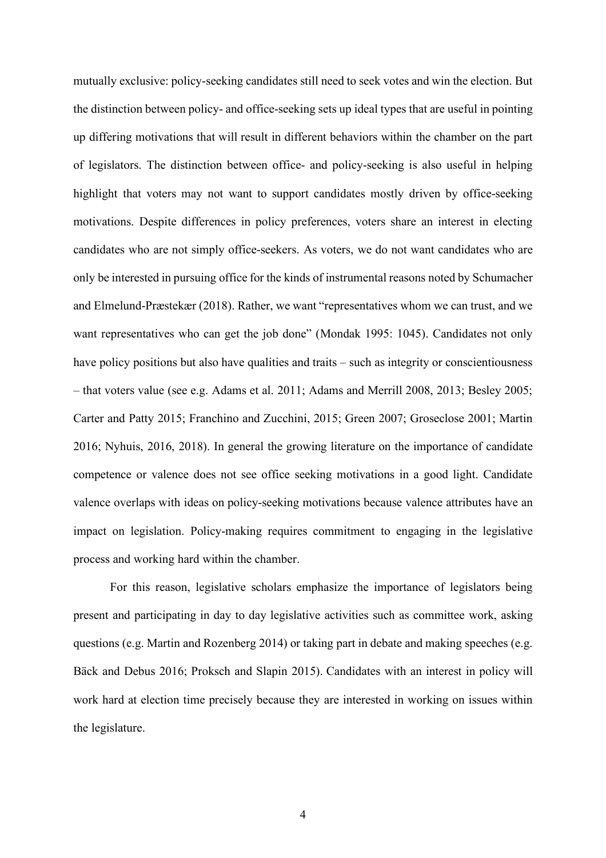mutually exclusive: policy-seeking candidates still need to seek votes and win the election. But the distinction between policy- and office-seeking sets up ideal types that are useful in pointing up differing motivations that will result in different behaviors within the chamber on the part of legislators. The distinction between office- and policy-seeking is also useful in helping highlight that voters may not want to support candidates mostly driven by office-seeking motivations. Despite differences in policy preferences, voters share an interest in electing candidates who are not simply office-seekers. As voters, we do not want candidates who are only be interested in pursuing office for the kinds of instrumental reasons noted by Schumacher and Elmelund-Præstekær (2018). Rather, we want "representatives whom we can trust, and we want representatives who can get the job done" (Mondak 1995: 1045). Candidates not only have policy positions but also have qualities and traits – such as integrity or conscientiousness – that voters value (see e.g. Adams et al. 2011; Adams and Merrill 2008, 2013; Besley 2005; Carter and Patty 2015; Franchino and Zucchini, 2015; Green 2007; Groseclose 2001; Martin 2016; Nyhuis, 2016, 2018). In general the growing literature on the importance of candidate competence or valence does not see office seeking motivations in a good light. Candidate valence overlaps with ideas on policy-seeking motivations because valence attributes have an impact on legislation. Policy-making requires commitment to engaging in the legislative process and working hard within the chamber.

For this reason, legislative scholars emphasize the importance of legislators being present and participating in day to day legislative activities such as committee work, asking questions (e.g. Martin and Rozenberg 2014) or taking part in debate and making speeches (e.g. Bäck and Debus 2016; Proksch and Slapin 2015). Candidates with an interest in policy will work hard at election time precisely because they are interested in working on issues within the legislature.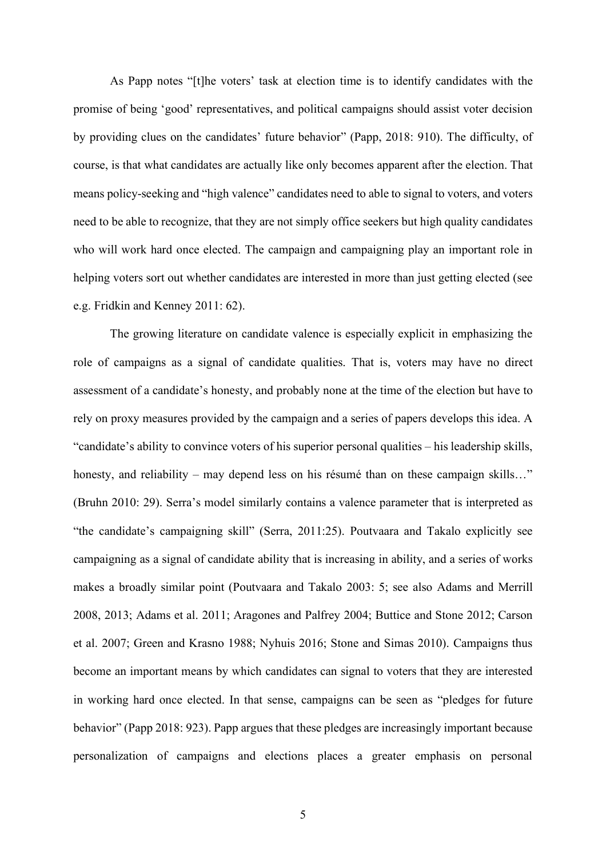As Papp notes "[t]he voters' task at election time is to identify candidates with the promise of being 'good' representatives, and political campaigns should assist voter decision by providing clues on the candidates' future behavior" (Papp, 2018: 910). The difficulty, of course, is that what candidates are actually like only becomes apparent after the election. That means policy-seeking and "high valence" candidates need to able to signal to voters, and voters need to be able to recognize, that they are not simply office seekers but high quality candidates who will work hard once elected. The campaign and campaigning play an important role in helping voters sort out whether candidates are interested in more than just getting elected (see e.g. Fridkin and Kenney 2011: 62).

The growing literature on candidate valence is especially explicit in emphasizing the role of campaigns as a signal of candidate qualities. That is, voters may have no direct assessment of a candidate's honesty, and probably none at the time of the election but have to rely on proxy measures provided by the campaign and a series of papers develops this idea. A "candidate's ability to convince voters of his superior personal qualities – his leadership skills, honesty, and reliability – may depend less on his résumé than on these campaign skills…" (Bruhn 2010: 29). Serra's model similarly contains a valence parameter that is interpreted as "the candidate's campaigning skill" (Serra, 2011:25). Poutvaara and Takalo explicitly see campaigning as a signal of candidate ability that is increasing in ability, and a series of works makes a broadly similar point (Poutvaara and Takalo 2003: 5; see also Adams and Merrill 2008, 2013; Adams et al. 2011; Aragones and Palfrey 2004; Buttice and Stone 2012; Carson et al. 2007; Green and Krasno 1988; Nyhuis 2016; Stone and Simas 2010). Campaigns thus become an important means by which candidates can signal to voters that they are interested in working hard once elected. In that sense, campaigns can be seen as "pledges for future behavior" (Papp 2018: 923). Papp argues that these pledges are increasingly important because personalization of campaigns and elections places a greater emphasis on personal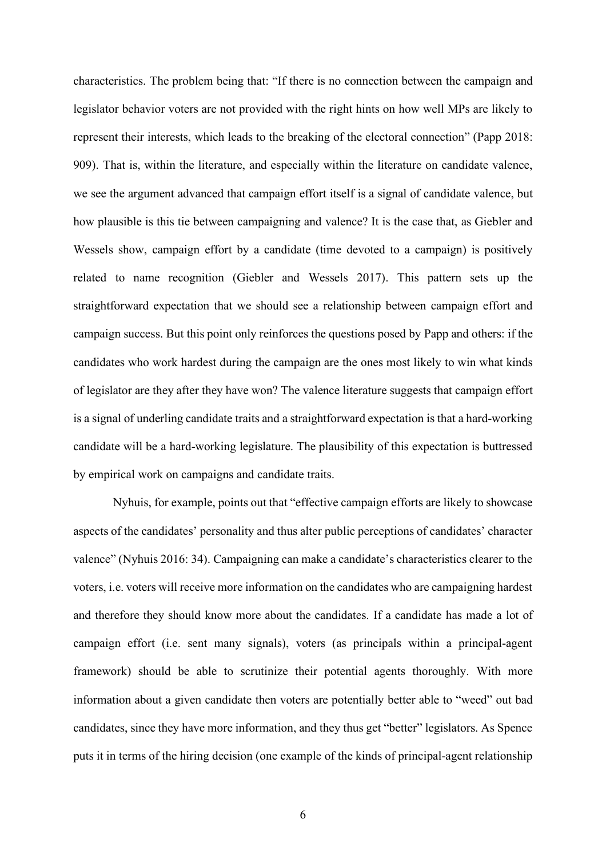characteristics. The problem being that: "If there is no connection between the campaign and legislator behavior voters are not provided with the right hints on how well MPs are likely to represent their interests, which leads to the breaking of the electoral connection" (Papp 2018: 909). That is, within the literature, and especially within the literature on candidate valence, we see the argument advanced that campaign effort itself is a signal of candidate valence, but how plausible is this tie between campaigning and valence? It is the case that, as Giebler and Wessels show, campaign effort by a candidate (time devoted to a campaign) is positively related to name recognition (Giebler and Wessels 2017). This pattern sets up the straightforward expectation that we should see a relationship between campaign effort and campaign success. But this point only reinforces the questions posed by Papp and others: if the candidates who work hardest during the campaign are the ones most likely to win what kinds of legislator are they after they have won? The valence literature suggests that campaign effort is a signal of underling candidate traits and a straightforward expectation is that a hard-working candidate will be a hard-working legislature. The plausibility of this expectation is buttressed by empirical work on campaigns and candidate traits.

Nyhuis, for example, points out that "effective campaign efforts are likely to showcase aspects of the candidates' personality and thus alter public perceptions of candidates' character valence" (Nyhuis 2016: 34). Campaigning can make a candidate's characteristics clearer to the voters, i.e. voters will receive more information on the candidates who are campaigning hardest and therefore they should know more about the candidates. If a candidate has made a lot of campaign effort (i.e. sent many signals), voters (as principals within a principal-agent framework) should be able to scrutinize their potential agents thoroughly. With more information about a given candidate then voters are potentially better able to "weed" out bad candidates, since they have more information, and they thus get "better" legislators. As Spence puts it in terms of the hiring decision (one example of the kinds of principal-agent relationship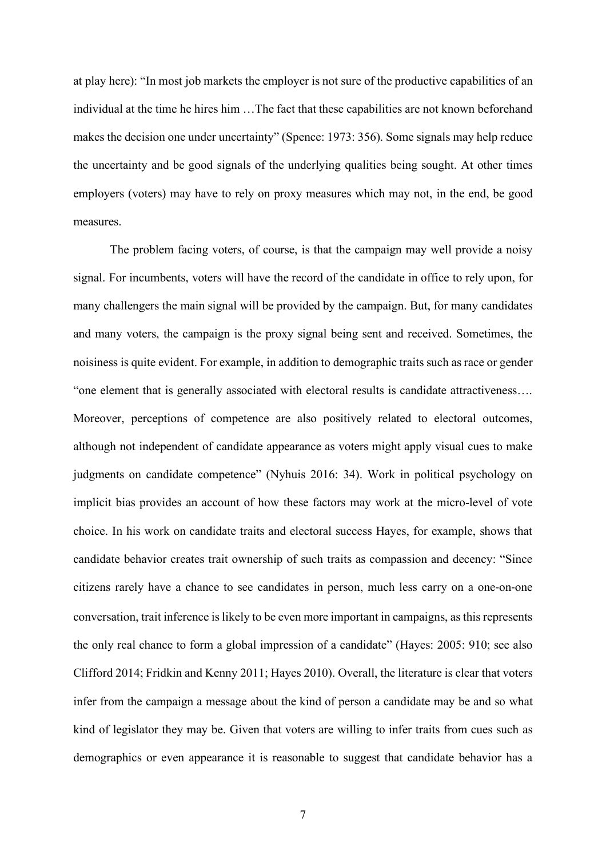at play here): "In most job markets the employer is not sure of the productive capabilities of an individual at the time he hires him …The fact that these capabilities are not known beforehand makes the decision one under uncertainty" (Spence: 1973: 356). Some signals may help reduce the uncertainty and be good signals of the underlying qualities being sought. At other times employers (voters) may have to rely on proxy measures which may not, in the end, be good measures.

The problem facing voters, of course, is that the campaign may well provide a noisy signal. For incumbents, voters will have the record of the candidate in office to rely upon, for many challengers the main signal will be provided by the campaign. But, for many candidates and many voters, the campaign is the proxy signal being sent and received. Sometimes, the noisiness is quite evident. For example, in addition to demographic traits such as race or gender "one element that is generally associated with electoral results is candidate attractiveness…. Moreover, perceptions of competence are also positively related to electoral outcomes, although not independent of candidate appearance as voters might apply visual cues to make judgments on candidate competence" (Nyhuis 2016: 34). Work in political psychology on implicit bias provides an account of how these factors may work at the micro-level of vote choice. In his work on candidate traits and electoral success Hayes, for example, shows that candidate behavior creates trait ownership of such traits as compassion and decency: "Since citizens rarely have a chance to see candidates in person, much less carry on a one-on-one conversation, trait inference is likely to be even more important in campaigns, as this represents the only real chance to form a global impression of a candidate" (Hayes: 2005: 910; see also Clifford 2014; Fridkin and Kenny 2011; Hayes 2010). Overall, the literature is clear that voters infer from the campaign a message about the kind of person a candidate may be and so what kind of legislator they may be. Given that voters are willing to infer traits from cues such as demographics or even appearance it is reasonable to suggest that candidate behavior has a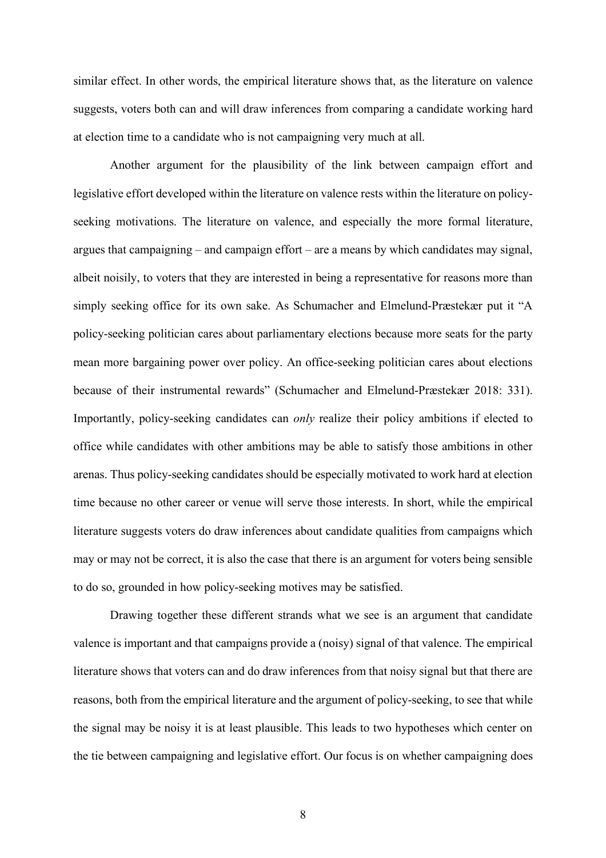similar effect. In other words, the empirical literature shows that, as the literature on valence suggests, voters both can and will draw inferences from comparing a candidate working hard at election time to a candidate who is not campaigning very much at all.

Another argument for the plausibility of the link between campaign effort and legislative effort developed within the literature on valence rests within the literature on policyseeking motivations. The literature on valence, and especially the more formal literature, argues that campaigning – and campaign effort – are a means by which candidates may signal, albeit noisily, to voters that they are interested in being a representative for reasons more than simply seeking office for its own sake. As Schumacher and Elmelund-Præstekær put it "A policy-seeking politician cares about parliamentary elections because more seats for the party mean more bargaining power over policy. An office-seeking politician cares about elections because of their instrumental rewards" (Schumacher and Elmelund-Præstekær 2018: 331). Importantly, policy-seeking candidates can *only* realize their policy ambitions if elected to office while candidates with other ambitions may be able to satisfy those ambitions in other arenas. Thus policy-seeking candidates should be especially motivated to work hard at election time because no other career or venue will serve those interests. In short, while the empirical literature suggests voters do draw inferences about candidate qualities from campaigns which may or may not be correct, it is also the case that there is an argument for voters being sensible to do so, grounded in how policy-seeking motives may be satisfied.

Drawing together these different strands what we see is an argument that candidate valence is important and that campaigns provide a (noisy) signal of that valence. The empirical literature shows that voters can and do draw inferences from that noisy signal but that there are reasons, both from the empirical literature and the argument of policy-seeking, to see that while the signal may be noisy it is at least plausible. This leads to two hypotheses which center on the tie between campaigning and legislative effort. Our focus is on whether campaigning does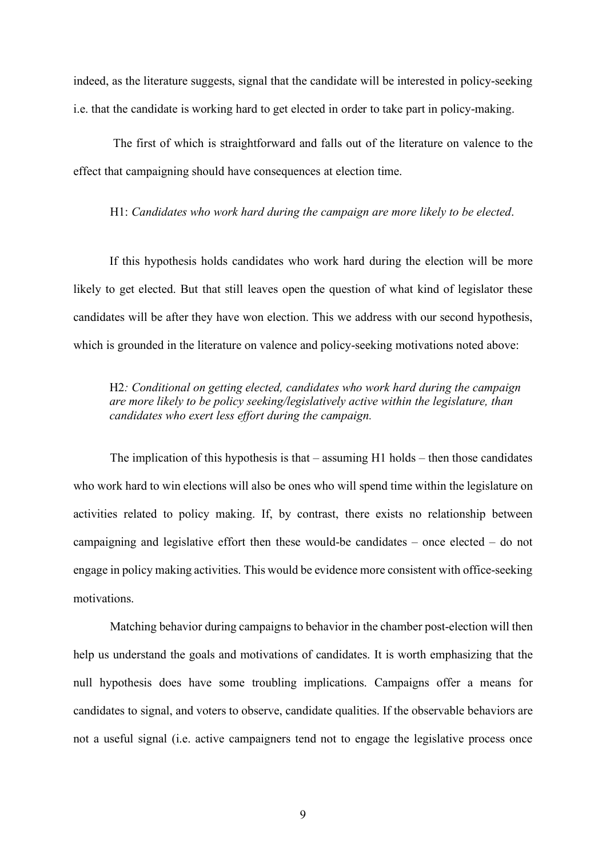indeed, as the literature suggests, signal that the candidate will be interested in policy-seeking i.e. that the candidate is working hard to get elected in order to take part in policy-making.

The first of which is straightforward and falls out of the literature on valence to the effect that campaigning should have consequences at election time.

H1: *Candidates who work hard during the campaign are more likely to be elected*.

If this hypothesis holds candidates who work hard during the election will be more likely to get elected. But that still leaves open the question of what kind of legislator these candidates will be after they have won election. This we address with our second hypothesis, which is grounded in the literature on valence and policy-seeking motivations noted above:

H2*: Conditional on getting elected, candidates who work hard during the campaign are more likely to be policy seeking/legislatively active within the legislature, than candidates who exert less effort during the campaign.*

The implication of this hypothesis is that – assuming H1 holds – then those candidates who work hard to win elections will also be ones who will spend time within the legislature on activities related to policy making. If, by contrast, there exists no relationship between campaigning and legislative effort then these would-be candidates – once elected – do not engage in policy making activities. This would be evidence more consistent with office-seeking motivations.

Matching behavior during campaigns to behavior in the chamber post-election will then help us understand the goals and motivations of candidates. It is worth emphasizing that the null hypothesis does have some troubling implications. Campaigns offer a means for candidates to signal, and voters to observe, candidate qualities. If the observable behaviors are not a useful signal (i.e. active campaigners tend not to engage the legislative process once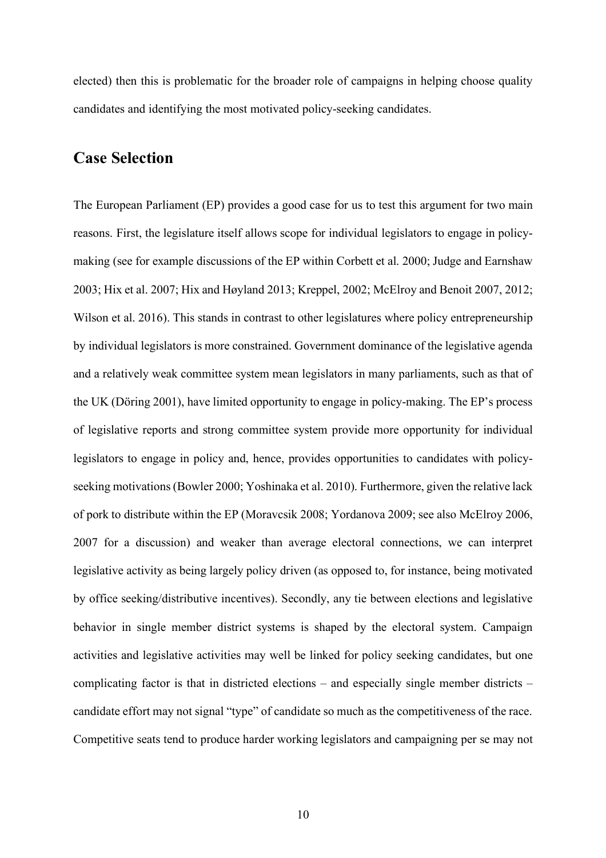elected) then this is problematic for the broader role of campaigns in helping choose quality candidates and identifying the most motivated policy-seeking candidates.

### **Case Selection**

The European Parliament (EP) provides a good case for us to test this argument for two main reasons. First, the legislature itself allows scope for individual legislators to engage in policymaking (see for example discussions of the EP within Corbett et al. 2000; Judge and Earnshaw 2003; Hix et al. 2007; Hix and Høyland 2013; Kreppel, 2002; McElroy and Benoit 2007, 2012; Wilson et al. 2016). This stands in contrast to other legislatures where policy entrepreneurship by individual legislators is more constrained. Government dominance of the legislative agenda and a relatively weak committee system mean legislators in many parliaments, such as that of the UK (Döring 2001), have limited opportunity to engage in policy-making. The EP's process of legislative reports and strong committee system provide more opportunity for individual legislators to engage in policy and, hence, provides opportunities to candidates with policyseeking motivations (Bowler 2000; Yoshinaka et al. 2010). Furthermore, given the relative lack of pork to distribute within the EP (Moravcsik 2008; Yordanova 2009; see also McElroy 2006, 2007 for a discussion) and weaker than average electoral connections, we can interpret legislative activity as being largely policy driven (as opposed to, for instance, being motivated by office seeking/distributive incentives). Secondly, any tie between elections and legislative behavior in single member district systems is shaped by the electoral system. Campaign activities and legislative activities may well be linked for policy seeking candidates, but one complicating factor is that in districted elections – and especially single member districts – candidate effort may not signal "type" of candidate so much as the competitiveness of the race. Competitive seats tend to produce harder working legislators and campaigning per se may not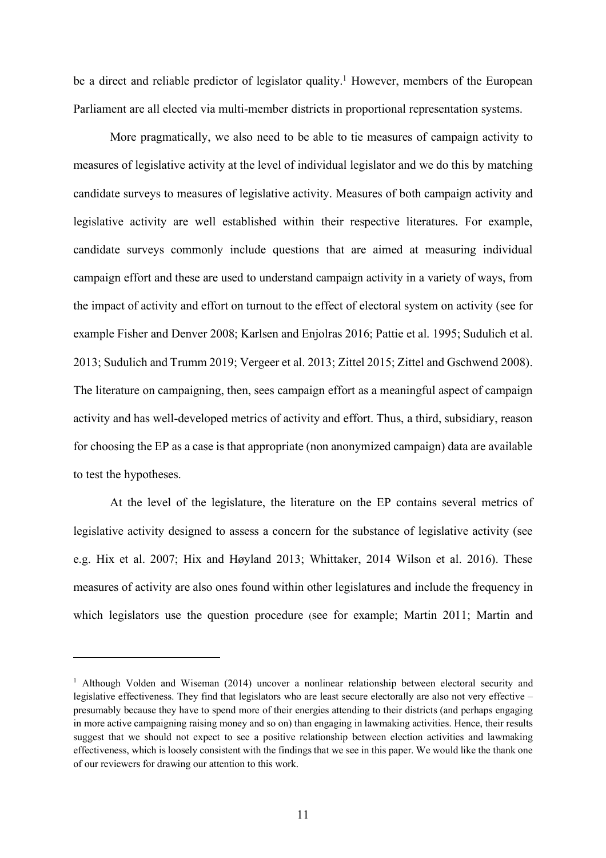be a direct and reliable predictor of legislator quality.<sup>1</sup> However, members of the European Parliament are all elected via multi-member districts in proportional representation systems.

More pragmatically, we also need to be able to tie measures of campaign activity to measures of legislative activity at the level of individual legislator and we do this by matching candidate surveys to measures of legislative activity. Measures of both campaign activity and legislative activity are well established within their respective literatures. For example, candidate surveys commonly include questions that are aimed at measuring individual campaign effort and these are used to understand campaign activity in a variety of ways, from the impact of activity and effort on turnout to the effect of electoral system on activity (see for example Fisher and Denver 2008; Karlsen and Enjolras 2016; Pattie et al. 1995; Sudulich et al. 2013; Sudulich and Trumm 2019; Vergeer et al. 2013; Zittel 2015; Zittel and Gschwend 2008). The literature on campaigning, then, sees campaign effort as a meaningful aspect of campaign activity and has well-developed metrics of activity and effort. Thus, a third, subsidiary, reason for choosing the EP as a case is that appropriate (non anonymized campaign) data are available to test the hypotheses.

At the level of the legislature, the literature on the EP contains several metrics of legislative activity designed to assess a concern for the substance of legislative activity (see e.g. Hix et al. 2007; Hix and Høyland 2013; Whittaker, 2014 Wilson et al. 2016). These measures of activity are also ones found within other legislatures and include the frequency in which legislators use the question procedure (see for example; Martin 2011; Martin and

<sup>1</sup> Although Volden and Wiseman (2014) uncover a nonlinear relationship between electoral security and legislative effectiveness. They find that legislators who are least secure electorally are also not very effective – presumably because they have to spend more of their energies attending to their districts (and perhaps engaging in more active campaigning raising money and so on) than engaging in lawmaking activities. Hence, their results suggest that we should not expect to see a positive relationship between election activities and lawmaking effectiveness, which is loosely consistent with the findings that we see in this paper. We would like the thank one of our reviewers for drawing our attention to this work.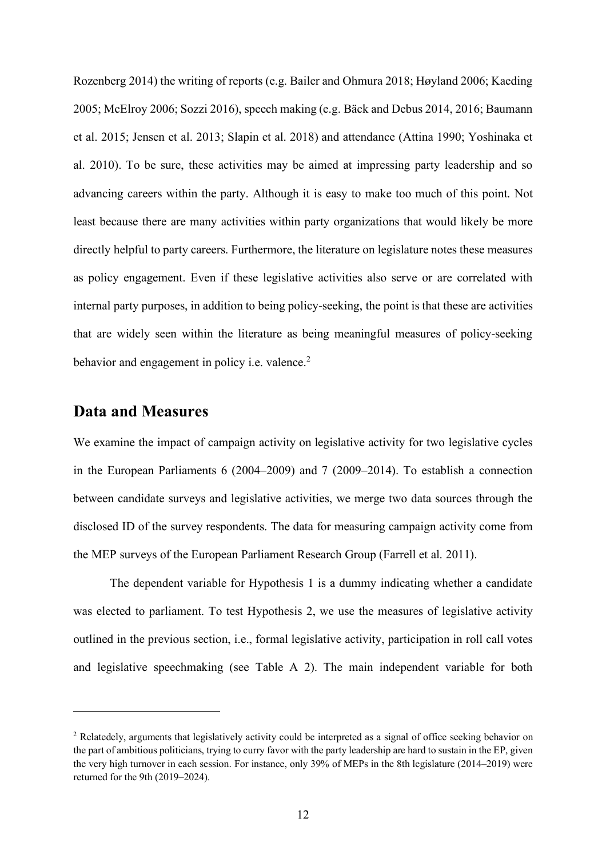Rozenberg 2014) the writing of reports (e.g. Bailer and Ohmura 2018; Høyland 2006; Kaeding 2005; McElroy 2006; Sozzi 2016), speech making (e.g. Bäck and Debus 2014, 2016; Baumann et al. 2015; Jensen et al. 2013; Slapin et al. 2018) and attendance (Attina 1990; Yoshinaka et al. 2010). To be sure, these activities may be aimed at impressing party leadership and so advancing careers within the party. Although it is easy to make too much of this point. Not least because there are many activities within party organizations that would likely be more directly helpful to party careers. Furthermore, the literature on legislature notes these measures as policy engagement. Even if these legislative activities also serve or are correlated with internal party purposes, in addition to being policy-seeking, the point is that these are activities that are widely seen within the literature as being meaningful measures of policy-seeking behavior and engagement in policy i.e. valence.<sup>2</sup>

### **Data and Measures**

 $\overline{a}$ 

We examine the impact of campaign activity on legislative activity for two legislative cycles in the European Parliaments 6 (2004–2009) and 7 (2009–2014). To establish a connection between candidate surveys and legislative activities, we merge two data sources through the disclosed ID of the survey respondents. The data for measuring campaign activity come from the MEP surveys of the European Parliament Research Group (Farrell et al. 2011).

The dependent variable for Hypothesis 1 is a dummy indicating whether a candidate was elected to parliament. To test Hypothesis 2, we use the measures of legislative activity outlined in the previous section, i.e., formal legislative activity, participation in roll call votes and legislative speechmaking (see Table A 2). The main independent variable for both

<sup>&</sup>lt;sup>2</sup> Relatedely, arguments that legislatively activity could be interpreted as a signal of office seeking behavior on the part of ambitious politicians, trying to curry favor with the party leadership are hard to sustain in the EP, given the very high turnover in each session. For instance, only 39% of MEPs in the 8th legislature (2014–2019) were returned for the 9th (2019–2024).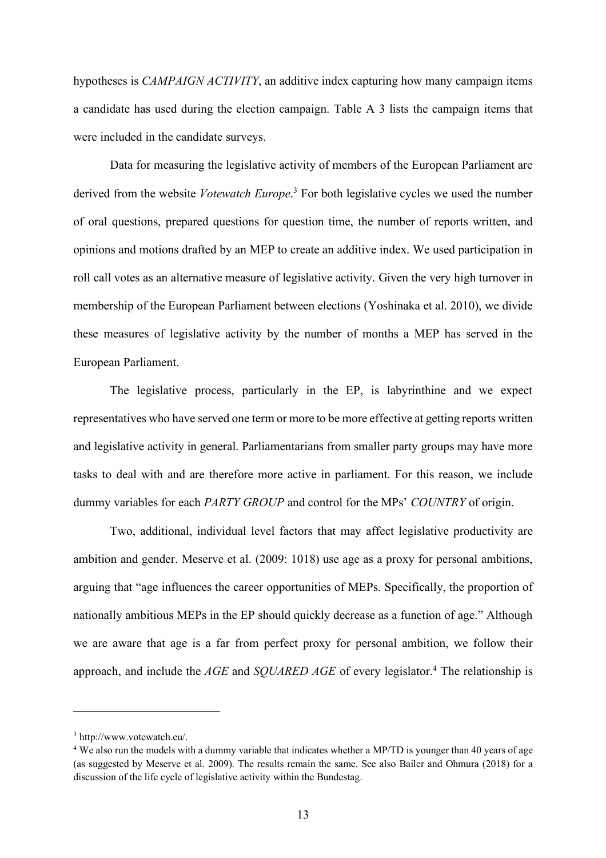hypotheses is *CAMPAIGN ACTIVITY*, an additive index capturing how many campaign items a candidate has used during the election campaign. Table A 3 lists the campaign items that were included in the candidate surveys.

Data for measuring the legislative activity of members of the European Parliament are derived from the website *Votewatch Europe*. <sup>3</sup> For both legislative cycles we used the number of oral questions, prepared questions for question time, the number of reports written, and opinions and motions drafted by an MEP to create an additive index. We used participation in roll call votes as an alternative measure of legislative activity. Given the very high turnover in membership of the European Parliament between elections (Yoshinaka et al. 2010), we divide these measures of legislative activity by the number of months a MEP has served in the European Parliament.

The legislative process, particularly in the EP, is labyrinthine and we expect representatives who have served one term or more to be more effective at getting reports written and legislative activity in general. Parliamentarians from smaller party groups may have more tasks to deal with and are therefore more active in parliament. For this reason, we include dummy variables for each *PARTY GROUP* and control for the MPs' *COUNTRY* of origin.

Two, additional, individual level factors that may affect legislative productivity are ambition and gender. Meserve et al. (2009: 1018) use age as a proxy for personal ambitions, arguing that "age influences the career opportunities of MEPs. Specifically, the proportion of nationally ambitious MEPs in the EP should quickly decrease as a function of age." Although we are aware that age is a far from perfect proxy for personal ambition, we follow their approach, and include the *AGE* and *SQUARED AGE* of every legislator.4 The relationship is

<sup>3</sup> http://www.votewatch.eu/.

<sup>4</sup> We also run the models with a dummy variable that indicates whether a MP/TD is younger than 40 years of age (as suggested by Meserve et al. 2009). The results remain the same. See also Bailer and Ohmura (2018) for a discussion of the life cycle of legislative activity within the Bundestag.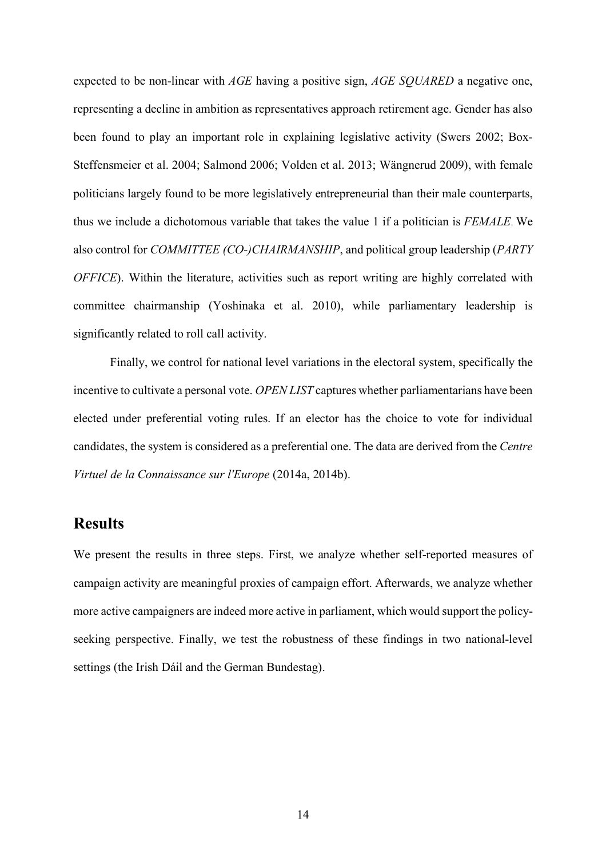expected to be non-linear with *AGE* having a positive sign, *AGE SQUARED* a negative one, representing a decline in ambition as representatives approach retirement age. Gender has also been found to play an important role in explaining legislative activity (Swers 2002; Box-Steffensmeier et al. 2004; Salmond 2006; Volden et al. 2013; Wängnerud 2009), with female politicians largely found to be more legislatively entrepreneurial than their male counterparts, thus we include a dichotomous variable that takes the value 1 if a politician is *FEMALE*. We also control for *COMMITTEE (CO-)CHAIRMANSHIP*, and political group leadership (*PARTY OFFICE*). Within the literature, activities such as report writing are highly correlated with committee chairmanship (Yoshinaka et al. 2010), while parliamentary leadership is significantly related to roll call activity.

Finally, we control for national level variations in the electoral system, specifically the incentive to cultivate a personal vote. *OPEN LIST* captures whether parliamentarians have been elected under preferential voting rules. If an elector has the choice to vote for individual candidates, the system is considered as a preferential one. The data are derived from the *Centre Virtuel de la Connaissance sur l'Europe* (2014a, 2014b).

# **Results**

We present the results in three steps. First, we analyze whether self-reported measures of campaign activity are meaningful proxies of campaign effort. Afterwards, we analyze whether more active campaigners are indeed more active in parliament, which would support the policyseeking perspective. Finally, we test the robustness of these findings in two national-level settings (the Irish Dáil and the German Bundestag).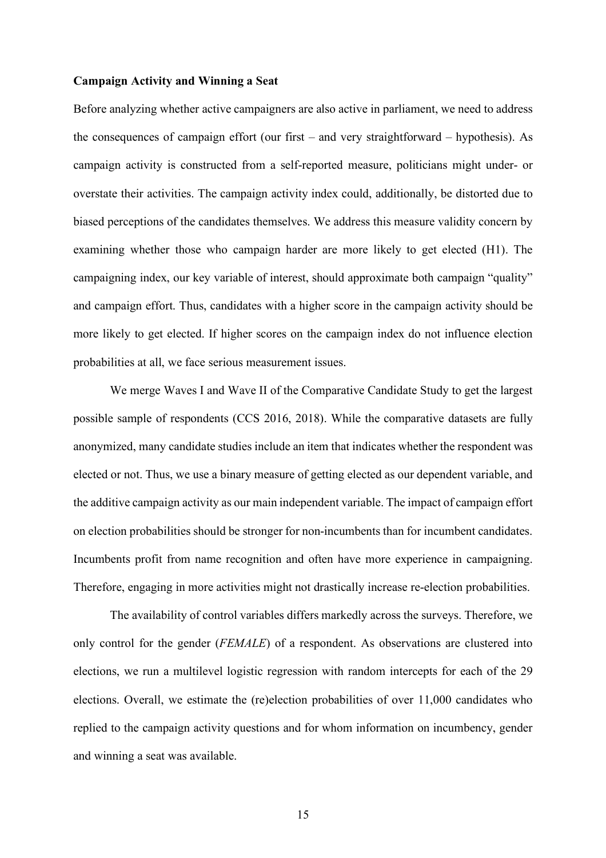#### **Campaign Activity and Winning a Seat**

Before analyzing whether active campaigners are also active in parliament, we need to address the consequences of campaign effort (our first – and very straightforward – hypothesis). As campaign activity is constructed from a self-reported measure, politicians might under- or overstate their activities. The campaign activity index could, additionally, be distorted due to biased perceptions of the candidates themselves. We address this measure validity concern by examining whether those who campaign harder are more likely to get elected (H1). The campaigning index, our key variable of interest, should approximate both campaign "quality" and campaign effort. Thus, candidates with a higher score in the campaign activity should be more likely to get elected. If higher scores on the campaign index do not influence election probabilities at all, we face serious measurement issues.

We merge Waves I and Wave II of the Comparative Candidate Study to get the largest possible sample of respondents (CCS 2016, 2018). While the comparative datasets are fully anonymized, many candidate studies include an item that indicates whether the respondent was elected or not. Thus, we use a binary measure of getting elected as our dependent variable, and the additive campaign activity as our main independent variable. The impact of campaign effort on election probabilities should be stronger for non-incumbents than for incumbent candidates. Incumbents profit from name recognition and often have more experience in campaigning. Therefore, engaging in more activities might not drastically increase re-election probabilities.

The availability of control variables differs markedly across the surveys. Therefore, we only control for the gender (*FEMALE*) of a respondent. As observations are clustered into elections, we run a multilevel logistic regression with random intercepts for each of the 29 elections. Overall, we estimate the (re)election probabilities of over 11,000 candidates who replied to the campaign activity questions and for whom information on incumbency, gender and winning a seat was available.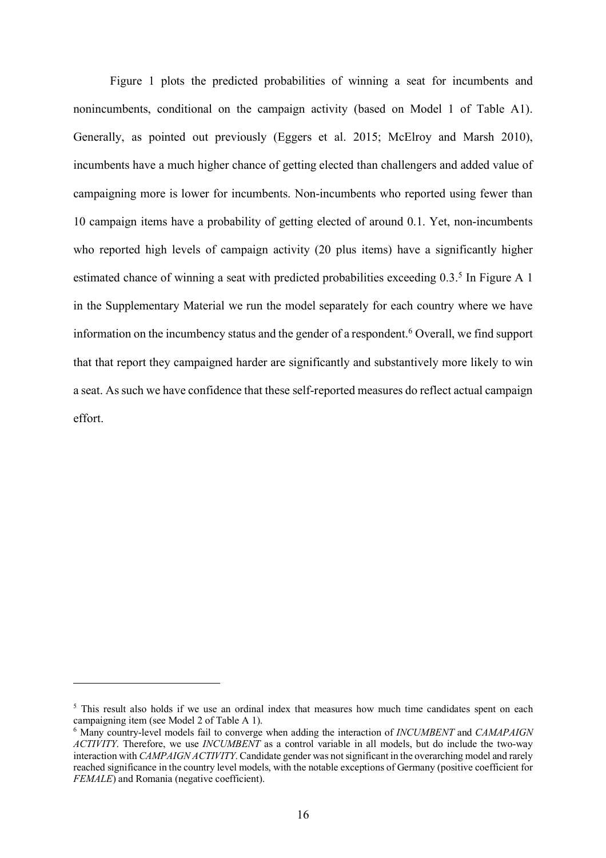Figure 1 plots the predicted probabilities of winning a seat for incumbents and nonincumbents, conditional on the campaign activity (based on Model 1 of Table A1). Generally, as pointed out previously (Eggers et al. 2015; McElroy and Marsh 2010), incumbents have a much higher chance of getting elected than challengers and added value of campaigning more is lower for incumbents. Non-incumbents who reported using fewer than 10 campaign items have a probability of getting elected of around 0.1. Yet, non-incumbents who reported high levels of campaign activity (20 plus items) have a significantly higher estimated chance of winning a seat with predicted probabilities exceeding 0.3.<sup>5</sup> In Figure A 1 in the Supplementary Material we run the model separately for each country where we have information on the incumbency status and the gender of a respondent. <sup>6</sup> Overall, we find support that that report they campaigned harder are significantly and substantively more likely to win a seat. As such we have confidence that these self-reported measures do reflect actual campaign effort.

<sup>&</sup>lt;sup>5</sup> This result also holds if we use an ordinal index that measures how much time candidates spent on each campaigning item (see Model 2 of Table A 1).

<sup>6</sup> Many country-level models fail to converge when adding the interaction of *INCUMBENT* and *CAMAPAIGN ACTIVITY*. Therefore, we use *INCUMBENT* as a control variable in all models, but do include the two-way interaction with *CAMPAIGN ACTIVITY*. Candidate gender was not significant in the overarching model and rarely reached significance in the country level models, with the notable exceptions of Germany (positive coefficient for *FEMALE*) and Romania (negative coefficient).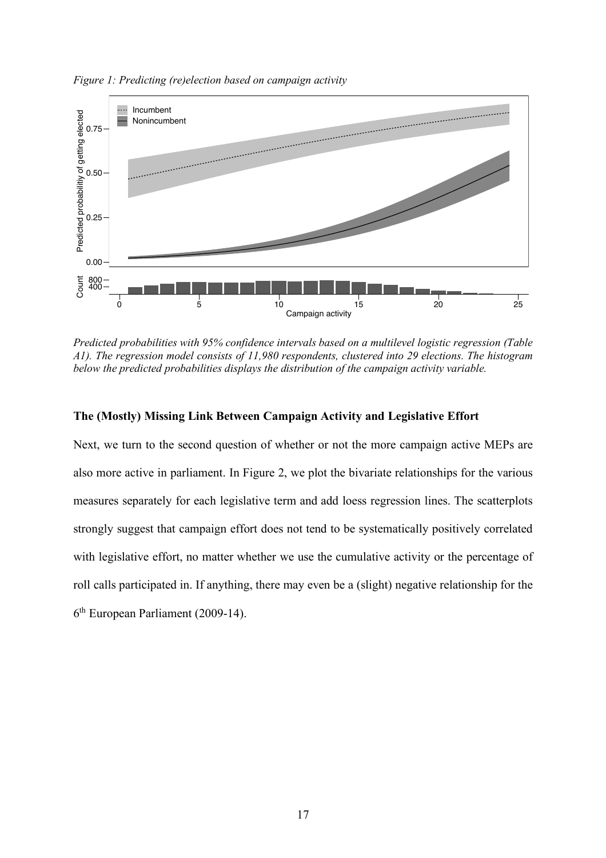*Figure 1: Predicting (re)election based on campaign activity*



*Predicted probabilities with 95% confidence intervals based on a multilevel logistic regression (Table A1). The regression model consists of 11,980 respondents, clustered into 29 elections. The histogram below the predicted probabilities displays the distribution of the campaign activity variable.*

#### **The (Mostly) Missing Link Between Campaign Activity and Legislative Effort**

Next, we turn to the second question of whether or not the more campaign active MEPs are also more active in parliament. In Figure 2, we plot the bivariate relationships for the various measures separately for each legislative term and add loess regression lines. The scatterplots strongly suggest that campaign effort does not tend to be systematically positively correlated with legislative effort, no matter whether we use the cumulative activity or the percentage of roll calls participated in. If anything, there may even be a (slight) negative relationship for the 6th European Parliament (2009-14).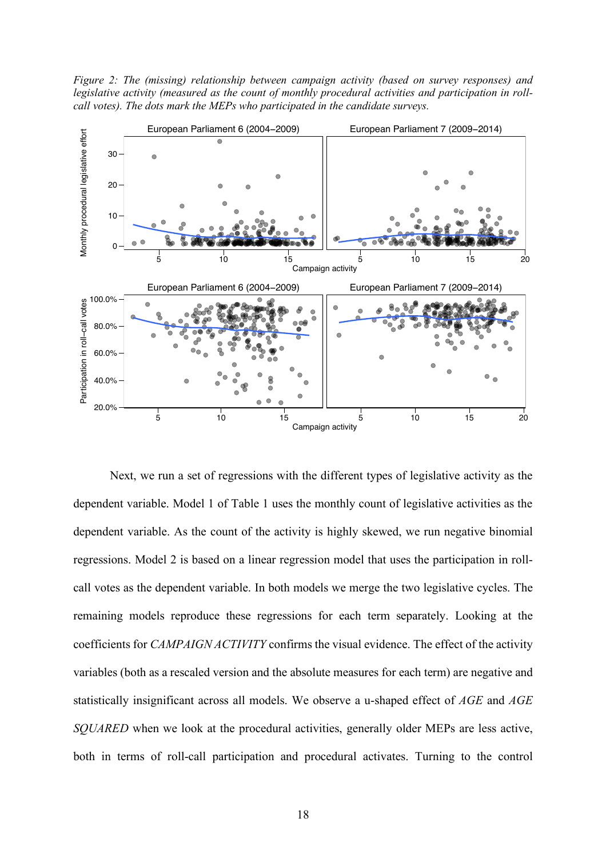*Figure 2: The (missing) relationship between campaign activity (based on survey responses) and legislative activity (measured as the count of monthly procedural activities and participation in rollcall votes). The dots mark the MEPs who participated in the candidate surveys.*



Next, we run a set of regressions with the different types of legislative activity as the dependent variable. Model 1 of Table 1 uses the monthly count of legislative activities as the dependent variable. As the count of the activity is highly skewed, we run negative binomial regressions. Model 2 is based on a linear regression model that uses the participation in rollcall votes as the dependent variable. In both models we merge the two legislative cycles. The remaining models reproduce these regressions for each term separately. Looking at the coefficients for *CAMPAIGN ACTIVITY* confirms the visual evidence. The effect of the activity variables (both as a rescaled version and the absolute measures for each term) are negative and statistically insignificant across all models. We observe a u-shaped effect of *AGE* and *AGE SQUARED* when we look at the procedural activities, generally older MEPs are less active, both in terms of roll-call participation and procedural activates. Turning to the control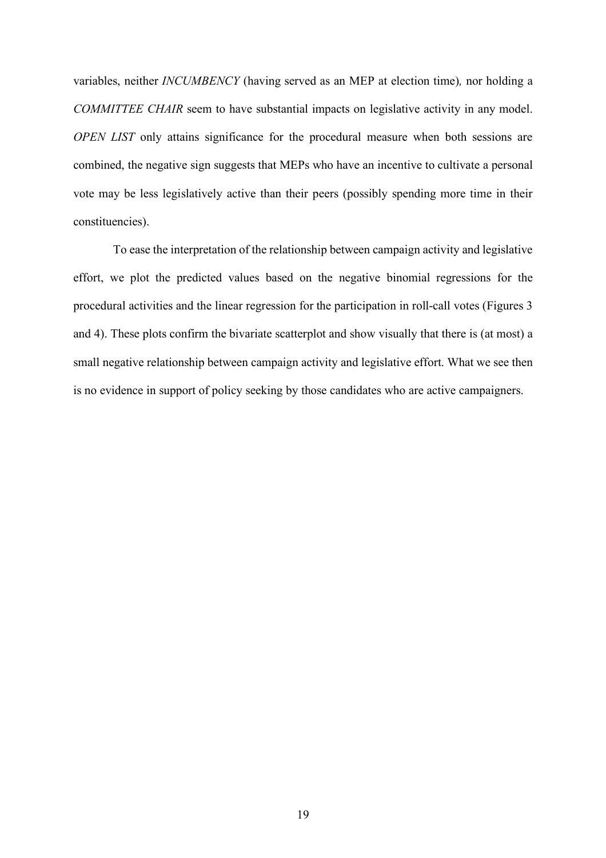variables, neither *INCUMBENCY* (having served as an MEP at election time)*,* nor holding a *COMMITTEE CHAIR* seem to have substantial impacts on legislative activity in any model. *OPEN LIST* only attains significance for the procedural measure when both sessions are combined, the negative sign suggests that MEPs who have an incentive to cultivate a personal vote may be less legislatively active than their peers (possibly spending more time in their constituencies).

To ease the interpretation of the relationship between campaign activity and legislative effort, we plot the predicted values based on the negative binomial regressions for the procedural activities and the linear regression for the participation in roll-call votes (Figures 3 and 4). These plots confirm the bivariate scatterplot and show visually that there is (at most) a small negative relationship between campaign activity and legislative effort. What we see then is no evidence in support of policy seeking by those candidates who are active campaigners.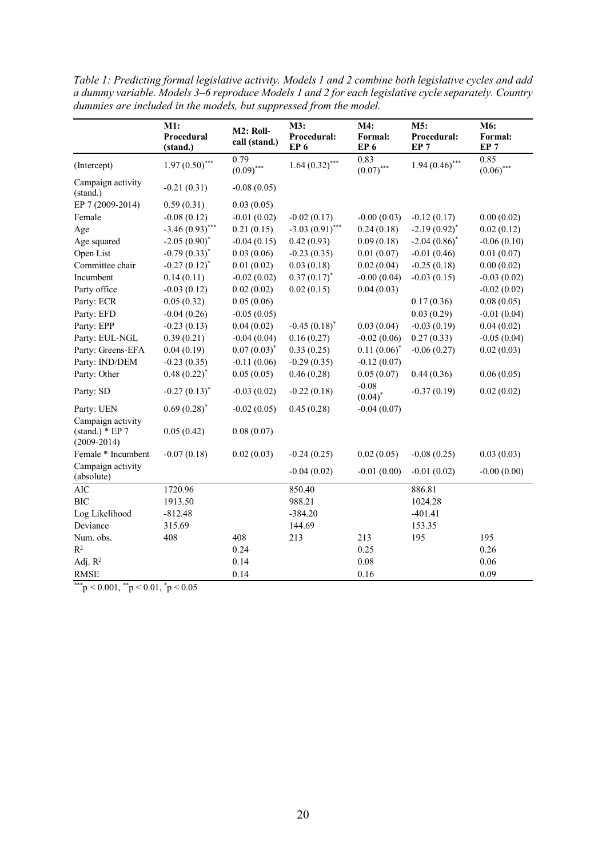|                                                          | M1:<br>Procedural<br>(stand.) | M2: Roll-<br>call (stand.) | M3:<br>Procedural:<br>EP <sub>6</sub> | M4:<br>Formal:<br>EP <sub>6</sub> | M5:<br>Procedural:<br>EP <sub>7</sub> | M6:<br>Formal:<br>EP <sub>7</sub> |
|----------------------------------------------------------|-------------------------------|----------------------------|---------------------------------------|-----------------------------------|---------------------------------------|-----------------------------------|
| (Intercept)                                              | $1.97(0.50)$ ***              | 0.79<br>$(0.09)$ ***       | $1.64(0.32)$ ***                      | 0.83<br>$(0.07)$ ***              | $1.94(0.46)$ ***                      | 0.85<br>$(0.06)$ ***              |
| Campaign activity<br>(stand.)                            | $-0.21(0.31)$                 | $-0.08(0.05)$              |                                       |                                   |                                       |                                   |
| EP 7 (2009-2014)                                         | 0.59(0.31)                    | 0.03(0.05)                 |                                       |                                   |                                       |                                   |
| Female                                                   | $-0.08(0.12)$                 | $-0.01(0.02)$              | $-0.02(0.17)$                         | $-0.00(0.03)$                     | $-0.12(0.17)$                         | 0.00(0.02)                        |
| Age                                                      | $-3.46(0.93)$ ***             | 0.21(0.15)                 | $-3.03(0.91)$ ***                     | 0.24(0.18)                        | $-2.19(0.92)^{*}$                     | 0.02(0.12)                        |
| Age squared                                              | $-2.05(0.90)^{*}$             | $-0.04(0.15)$              | 0.42(0.93)                            | 0.09(0.18)                        | $-2.04(0.86)$ <sup>*</sup>            | $-0.06(0.10)$                     |
| Open List                                                | $-0.79(0.33)^{*}$             | 0.03(0.06)                 | $-0.23(0.35)$                         | 0.01(0.07)                        | $-0.01(0.46)$                         | 0.01(0.07)                        |
| Committee chair                                          | $-0.27(0.12)^{*}$             | 0.01(0.02)                 | 0.03(0.18)                            | 0.02(0.04)                        | $-0.25(0.18)$                         | 0.00(0.02)                        |
| Incumbent                                                | 0.14(0.11)                    | $-0.02(0.02)$              | $0.37(0.17)^*$                        | $-0.00(0.04)$                     | $-0.03(0.15)$                         | $-0.03(0.02)$                     |
| Party office                                             | $-0.03(0.12)$                 | 0.02(0.02)                 | 0.02(0.15)                            | 0.04(0.03)                        |                                       | $-0.02(0.02)$                     |
| Party: ECR                                               | 0.05(0.32)                    | 0.05(0.06)                 |                                       |                                   | 0.17(0.36)                            | 0.08(0.05)                        |
| Party: EFD                                               | $-0.04(0.26)$                 | $-0.05(0.05)$              |                                       |                                   | 0.03(0.29)                            | $-0.01(0.04)$                     |
| Party: EPP                                               | $-0.23(0.13)$                 | 0.04(0.02)                 | $-0.45(0.18)^{*}$                     | 0.03(0.04)                        | $-0.03(0.19)$                         | 0.04(0.02)                        |
| Party: EUL-NGL                                           | 0.39(0.21)                    | $-0.04(0.04)$              | 0.16(0.27)                            | $-0.02(0.06)$                     | 0.27(0.33)                            | $-0.05(0.04)$                     |
| Party: Greens-EFA                                        | 0.04(0.19)                    | $0.07(0.03)^*$             | 0.33(0.25)                            | $0.11(0.06)^*$                    | $-0.06(0.27)$                         | 0.02(0.03)                        |
| Party: IND/DEM                                           | $-0.23(0.35)$                 | $-0.11(0.06)$              | $-0.29(0.35)$                         | $-0.12(0.07)$                     |                                       |                                   |
| Party: Other                                             | $0.48(0.22)^{*}$              | 0.05(0.05)                 | 0.46(0.28)                            | 0.05(0.07)                        | 0.44(0.36)                            | 0.06(0.05)                        |
| Party: SD                                                | $-0.27(0.13)^{*}$             | $-0.03(0.02)$              | $-0.22(0.18)$                         | $-0.08$<br>$(0.04)^*$             | $-0.37(0.19)$                         | 0.02(0.02)                        |
| Party: UEN                                               | $0.69(0.28)^*$                | $-0.02(0.05)$              | 0.45(0.28)                            | $-0.04(0.07)$                     |                                       |                                   |
| Campaign activity<br>$(stat.) * EP 7$<br>$(2009 - 2014)$ | 0.05(0.42)                    | 0.08(0.07)                 |                                       |                                   |                                       |                                   |
| Female * Incumbent                                       | $-0.07(0.18)$                 | 0.02(0.03)                 | $-0.24(0.25)$                         | 0.02(0.05)                        | $-0.08(0.25)$                         | 0.03(0.03)                        |
| Campaign activity<br>(absolute)                          |                               |                            | $-0.04(0.02)$                         | $-0.01(0.00)$                     | $-0.01(0.02)$                         | $-0.00(0.00)$                     |
| <b>AIC</b>                                               | 1720.96                       |                            | 850.40                                |                                   | 886.81                                |                                   |
| <b>BIC</b>                                               | 1913.50                       |                            | 988.21                                |                                   | 1024.28                               |                                   |
| Log Likelihood                                           | $-812.48$                     |                            | $-384.20$                             |                                   | $-401.41$                             |                                   |
| Deviance                                                 | 315.69                        |                            | 144.69                                |                                   | 153.35                                |                                   |
| Num. obs.                                                | 408                           | 408                        | 213                                   | 213                               | 195                                   | 195                               |
| $R^2$                                                    |                               | 0.24                       |                                       | 0.25                              |                                       | 0.26                              |
| Adj. $R^2$                                               |                               | 0.14                       |                                       | 0.08                              |                                       | 0.06                              |
| <b>RMSE</b>                                              |                               | 0.14                       |                                       | 0.16                              |                                       | 0.09                              |

*Table 1: Predicting formal legislative activity. Models 1 and 2 combine both legislative cycles and add a dummy variable. Models 3–6 reproduce Models 1 and 2 for each legislative cycle separately. Country dummies are included in the models, but suppressed from the model.*

\*\*\*p < 0.001,  $*$ <sup>\*</sup>p < 0.01,  $*$ p < 0.05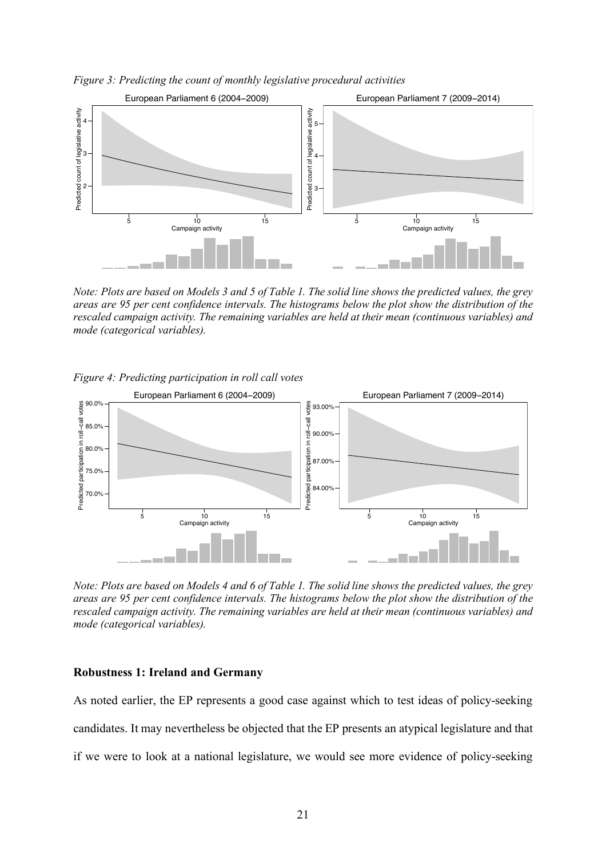

*Figure 3: Predicting the count of monthly legislative procedural activities*

*Note: Plots are based on Models 3 and 5 of Table 1. The solid line shows the predicted values, the grey areas are 95 per cent confidence intervals. The histograms below the plot show the distribution of the rescaled campaign activity. The remaining variables are held at their mean (continuous variables) and mode (categorical variables).*

*Figure 4: Predicting participation in roll call votes*



*Note: Plots are based on Models 4 and 6 of Table 1. The solid line shows the predicted values, the grey areas are 95 per cent confidence intervals. The histograms below the plot show the distribution of the rescaled campaign activity. The remaining variables are held at their mean (continuous variables) and mode (categorical variables).*

#### **Robustness 1: Ireland and Germany**

As noted earlier, the EP represents a good case against which to test ideas of policy-seeking candidates. It may nevertheless be objected that the EP presents an atypical legislature and that if we were to look at a national legislature, we would see more evidence of policy-seeking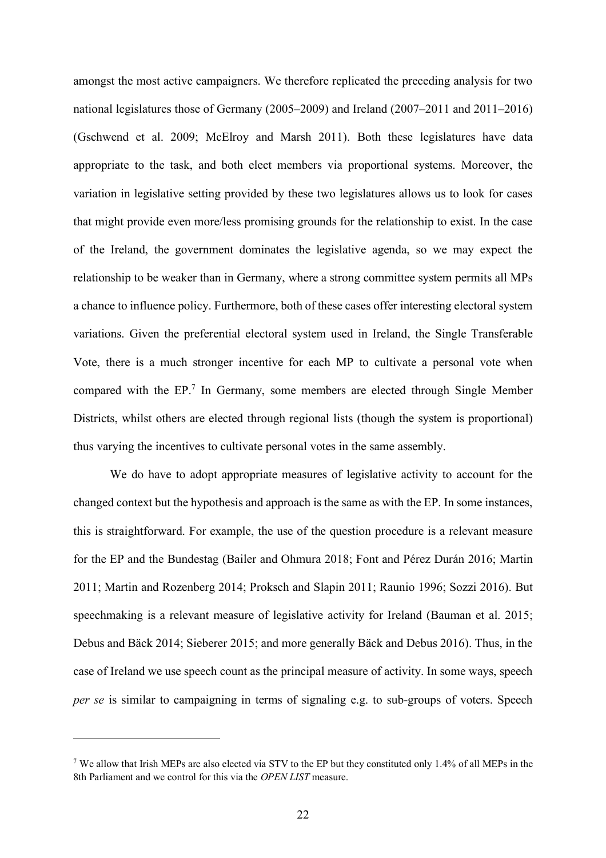amongst the most active campaigners. We therefore replicated the preceding analysis for two national legislatures those of Germany (2005–2009) and Ireland (2007–2011 and 2011–2016) (Gschwend et al. 2009; McElroy and Marsh 2011). Both these legislatures have data appropriate to the task, and both elect members via proportional systems. Moreover, the variation in legislative setting provided by these two legislatures allows us to look for cases that might provide even more/less promising grounds for the relationship to exist. In the case of the Ireland, the government dominates the legislative agenda, so we may expect the relationship to be weaker than in Germany, where a strong committee system permits all MPs a chance to influence policy. Furthermore, both of these cases offer interesting electoral system variations. Given the preferential electoral system used in Ireland, the Single Transferable Vote, there is a much stronger incentive for each MP to cultivate a personal vote when compared with the EP. <sup>7</sup> In Germany, some members are elected through Single Member Districts, whilst others are elected through regional lists (though the system is proportional) thus varying the incentives to cultivate personal votes in the same assembly.

We do have to adopt appropriate measures of legislative activity to account for the changed context but the hypothesis and approach is the same as with the EP. In some instances, this is straightforward. For example, the use of the question procedure is a relevant measure for the EP and the Bundestag (Bailer and Ohmura 2018; Font and Pérez Durán 2016; Martin 2011; Martin and Rozenberg 2014; Proksch and Slapin 2011; Raunio 1996; Sozzi 2016). But speechmaking is a relevant measure of legislative activity for Ireland (Bauman et al. 2015; Debus and Bäck 2014; Sieberer 2015; and more generally Bäck and Debus 2016). Thus, in the case of Ireland we use speech count as the principal measure of activity. In some ways, speech *per se* is similar to campaigning in terms of signaling e.g. to sub-groups of voters. Speech

<sup>7</sup> We allow that Irish MEPs are also elected via STV to the EP but they constituted only 1.4% of all MEPs in the 8th Parliament and we control for this via the *OPEN LIST* measure.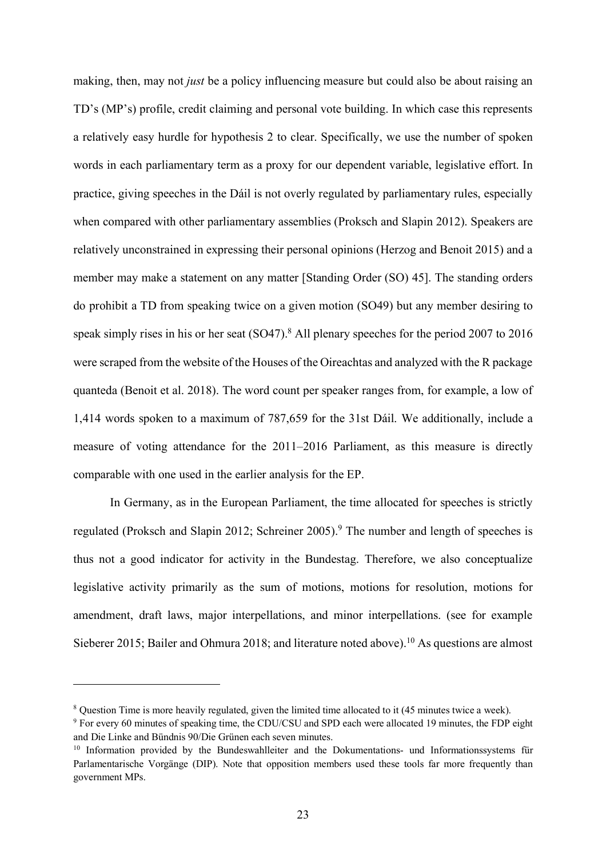making, then, may not *just* be a policy influencing measure but could also be about raising an TD's (MP's) profile, credit claiming and personal vote building. In which case this represents a relatively easy hurdle for hypothesis 2 to clear. Specifically, we use the number of spoken words in each parliamentary term as a proxy for our dependent variable, legislative effort. In practice, giving speeches in the Dáil is not overly regulated by parliamentary rules, especially when compared with other parliamentary assemblies (Proksch and Slapin 2012). Speakers are relatively unconstrained in expressing their personal opinions (Herzog and Benoit 2015) and a member may make a statement on any matter [Standing Order (SO) 45]. The standing orders do prohibit a TD from speaking twice on a given motion (SO49) but any member desiring to speak simply rises in his or her seat (SO47).<sup>8</sup> All plenary speeches for the period 2007 to 2016 were scraped from the website of the Houses of the Oireachtas and analyzed with the R package quanteda (Benoit et al. 2018). The word count per speaker ranges from, for example, a low of 1,414 words spoken to a maximum of 787,659 for the 31st Dáil. We additionally, include a measure of voting attendance for the 2011–2016 Parliament, as this measure is directly comparable with one used in the earlier analysis for the EP.

In Germany, as in the European Parliament, the time allocated for speeches is strictly regulated (Proksch and Slapin 2012; Schreiner 2005).<sup>9</sup> The number and length of speeches is thus not a good indicator for activity in the Bundestag. Therefore, we also conceptualize legislative activity primarily as the sum of motions, motions for resolution, motions for amendment, draft laws, major interpellations, and minor interpellations. (see for example Sieberer 2015; Bailer and Ohmura 2018; and literature noted above).<sup>10</sup> As questions are almost

<sup>8</sup> Question Time is more heavily regulated, given the limited time allocated to it (45 minutes twice a week).

<sup>9</sup> For every 60 minutes of speaking time, the CDU/CSU and SPD each were allocated 19 minutes, the FDP eight and Die Linke and Bündnis 90/Die Grünen each seven minutes.

<sup>&</sup>lt;sup>10</sup> Information provided by the Bundeswahlleiter and the Dokumentations- und Informationssystems für Parlamentarische Vorgänge (DIP). Note that opposition members used these tools far more frequently than government MPs.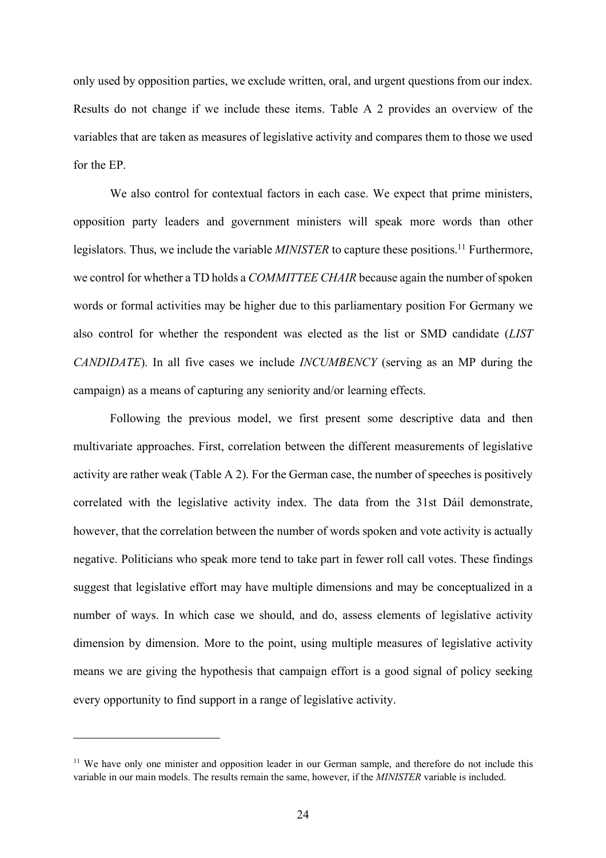only used by opposition parties, we exclude written, oral, and urgent questions from our index. Results do not change if we include these items. Table A 2 provides an overview of the variables that are taken as measures of legislative activity and compares them to those we used for the EP.

We also control for contextual factors in each case. We expect that prime ministers, opposition party leaders and government ministers will speak more words than other legislators. Thus, we include the variable *MINISTER* to capture these positions.<sup>11</sup> Furthermore, we control for whether a TD holds a *COMMITTEE CHAIR* because again the number of spoken words or formal activities may be higher due to this parliamentary position For Germany we also control for whether the respondent was elected as the list or SMD candidate (*LIST CANDIDATE*). In all five cases we include *INCUMBENCY* (serving as an MP during the campaign) as a means of capturing any seniority and/or learning effects.

Following the previous model, we first present some descriptive data and then multivariate approaches. First, correlation between the different measurements of legislative activity are rather weak (Table A 2). For the German case, the number of speeches is positively correlated with the legislative activity index. The data from the 31st Dáil demonstrate, however, that the correlation between the number of words spoken and vote activity is actually negative. Politicians who speak more tend to take part in fewer roll call votes. These findings suggest that legislative effort may have multiple dimensions and may be conceptualized in a number of ways. In which case we should, and do, assess elements of legislative activity dimension by dimension. More to the point, using multiple measures of legislative activity means we are giving the hypothesis that campaign effort is a good signal of policy seeking every opportunity to find support in a range of legislative activity.

<sup>&</sup>lt;sup>11</sup> We have only one minister and opposition leader in our German sample, and therefore do not include this variable in our main models. The results remain the same, however, if the *MINISTER* variable is included.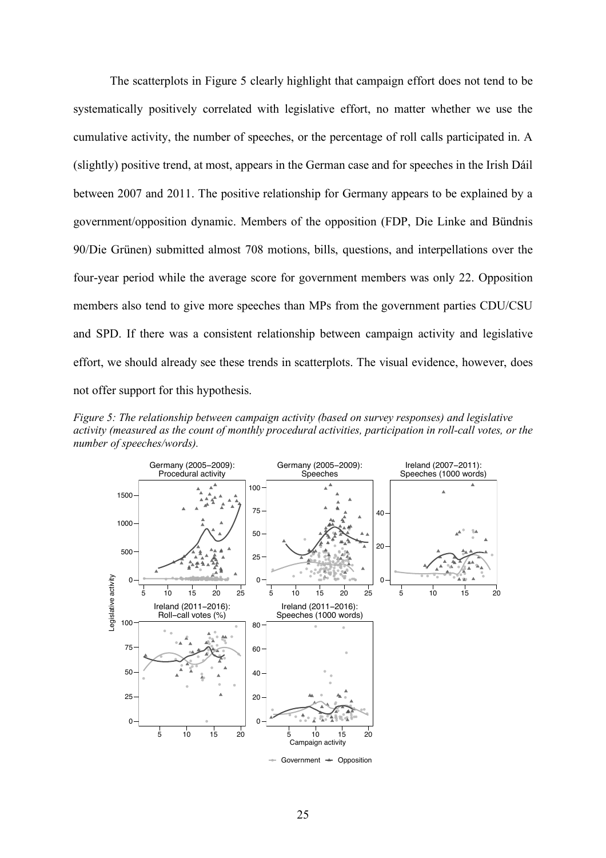The scatterplots in Figure 5 clearly highlight that campaign effort does not tend to be systematically positively correlated with legislative effort, no matter whether we use the cumulative activity, the number of speeches, or the percentage of roll calls participated in. A (slightly) positive trend, at most, appears in the German case and for speeches in the Irish Dáil between 2007 and 2011. The positive relationship for Germany appears to be explained by a government/opposition dynamic. Members of the opposition (FDP, Die Linke and Bündnis 90/Die Grünen) submitted almost 708 motions, bills, questions, and interpellations over the four-year period while the average score for government members was only 22. Opposition members also tend to give more speeches than MPs from the government parties CDU/CSU and SPD. If there was a consistent relationship between campaign activity and legislative effort, we should already see these trends in scatterplots. The visual evidence, however, does not offer support for this hypothesis.

*Figure 5: The relationship between campaign activity (based on survey responses) and legislative activity (measured as the count of monthly procedural activities, participation in roll-call votes, or the number of speeches/words).*

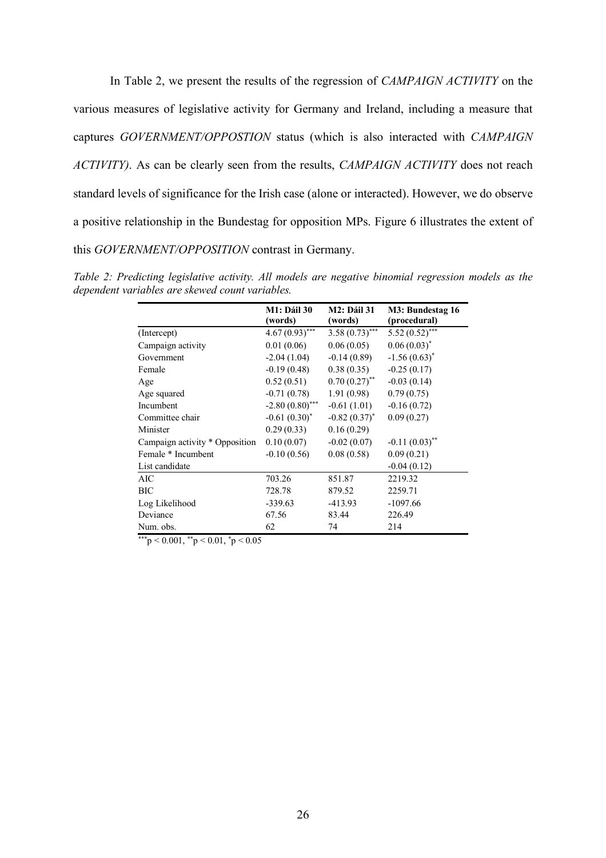In Table 2, we present the results of the regression of *CAMPAIGN ACTIVITY* on the various measures of legislative activity for Germany and Ireland, including a measure that captures *GOVERNMENT/OPPOSTION* status (which is also interacted with *CAMPAIGN ACTIVITY)*. As can be clearly seen from the results, *CAMPAIGN ACTIVITY* does not reach standard levels of significance for the Irish case (alone or interacted). However, we do observe a positive relationship in the Bundestag for opposition MPs. Figure 6 illustrates the extent of this *GOVERNMENT/OPPOSITION* contrast in Germany.

*Table 2: Predicting legislative activity. All models are negative binomial regression models as the dependent variables are skewed count variables.* 

|                                | <b>M1: Dáil 30</b><br>(words) | <b>M2: Dáil 31</b><br>(words) | M3: Bundestag 16<br>(procedural) |
|--------------------------------|-------------------------------|-------------------------------|----------------------------------|
| (Intercept)                    | $4.67(0.93)$ ***              | $3.58(0.73)$ ***              | $5.52(0.52)$ ***                 |
| Campaign activity              | 0.01(0.06)                    | 0.06(0.05)                    | $0.06(0.03)^{*}$                 |
| Government                     | $-2.04(1.04)$                 | $-0.14(0.89)$                 | $-1.56(0.63)$ *                  |
| Female                         | $-0.19(0.48)$                 | 0.38(0.35)                    | $-0.25(0.17)$                    |
| Age                            | 0.52(0.51)                    | $0.70(0.27)$ **               | $-0.03(0.14)$                    |
| Age squared                    | $-0.71(0.78)$                 | 1.91(0.98)                    | 0.79(0.75)                       |
| Incumbent                      | $-2.80(0.80)$ ***             | $-0.61(1.01)$                 | $-0.16(0.72)$                    |
| Committee chair                | $-0.61(0.30)^*$               | $-0.82(0.37)^*$               | 0.09(0.27)                       |
| Minister                       | 0.29(0.33)                    | 0.16(0.29)                    |                                  |
| Campaign activity * Opposition | 0.10(0.07)                    | $-0.02(0.07)$                 | $-0.11(0.03)$ <sup>**</sup>      |
| Female * Incumbent             | $-0.10(0.56)$                 | 0.08(0.58)                    | 0.09(0.21)                       |
| List candidate                 |                               |                               | $-0.04(0.12)$                    |
| <b>AIC</b>                     | 703.26                        | 851.87                        | 2219.32                          |
| BIC                            | 728.78                        | 879.52                        | 2259.71                          |
| Log Likelihood                 | $-339.63$                     | $-413.93$                     | $-1097.66$                       |
| Deviance                       | 67.56                         | 83.44                         | 226.49                           |
| Num. obs.                      | 62                            | 74                            | 214                              |

\*\*\*p < 0.001,  $*$ <sup>\*</sup>p < 0.01,  $*$ p < 0.05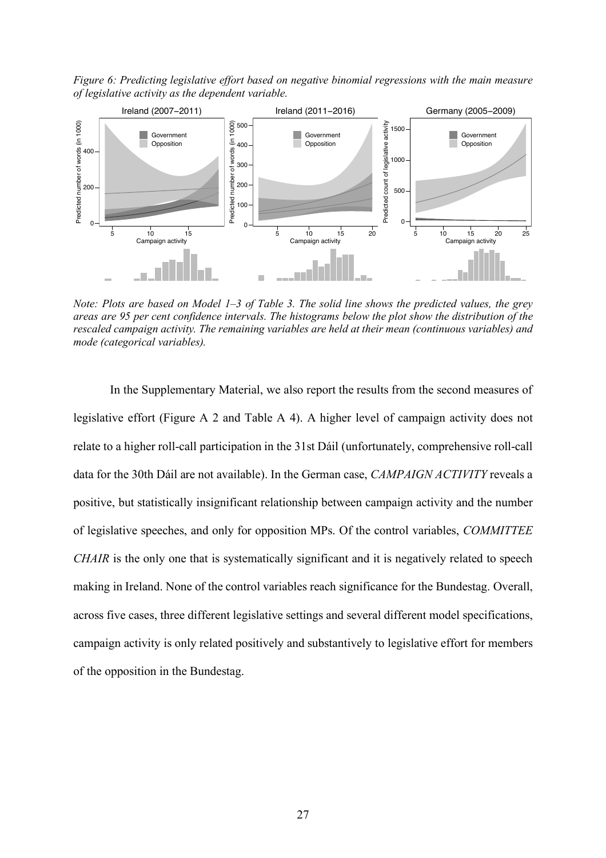*Figure 6: Predicting legislative effort based on negative binomial regressions with the main measure of legislative activity as the dependent variable.*



*Note: Plots are based on Model 1–3 of Table 3. The solid line shows the predicted values, the grey areas are 95 per cent confidence intervals. The histograms below the plot show the distribution of the rescaled campaign activity. The remaining variables are held at their mean (continuous variables) and mode (categorical variables).*

In the Supplementary Material, we also report the results from the second measures of legislative effort (Figure A 2 and Table A 4). A higher level of campaign activity does not relate to a higher roll-call participation in the 31st Dáil (unfortunately, comprehensive roll-call data for the 30th Dáil are not available). In the German case, *CAMPAIGN ACTIVITY* reveals a positive, but statistically insignificant relationship between campaign activity and the number of legislative speeches, and only for opposition MPs. Of the control variables, *COMMITTEE CHAIR* is the only one that is systematically significant and it is negatively related to speech making in Ireland. None of the control variables reach significance for the Bundestag. Overall, across five cases, three different legislative settings and several different model specifications, campaign activity is only related positively and substantively to legislative effort for members of the opposition in the Bundestag.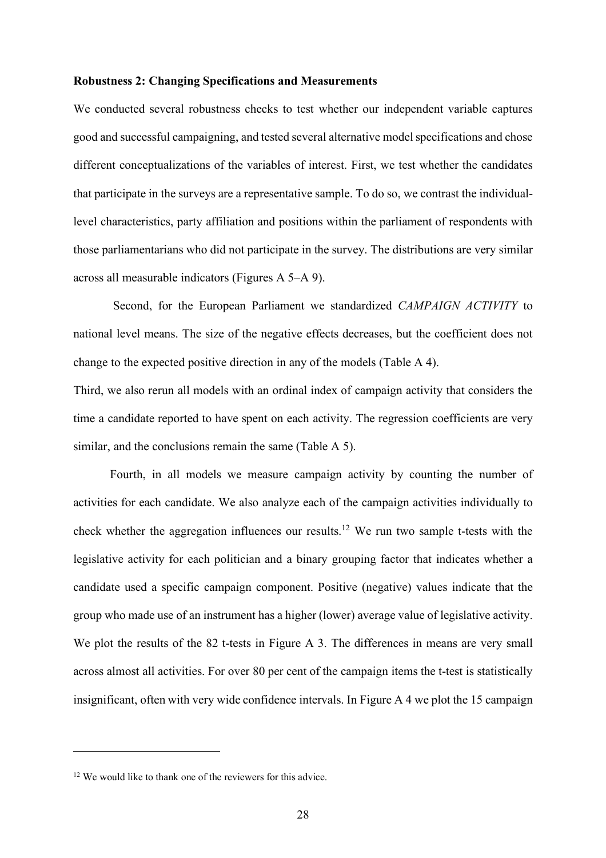#### **Robustness 2: Changing Specifications and Measurements**

We conducted several robustness checks to test whether our independent variable captures good and successful campaigning, and tested several alternative model specifications and chose different conceptualizations of the variables of interest. First, we test whether the candidates that participate in the surveys are a representative sample. To do so, we contrast the individuallevel characteristics, party affiliation and positions within the parliament of respondents with those parliamentarians who did not participate in the survey. The distributions are very similar across all measurable indicators (Figures A 5–A 9).

Second, for the European Parliament we standardized *CAMPAIGN ACTIVITY* to national level means. The size of the negative effects decreases, but the coefficient does not change to the expected positive direction in any of the models (Table A 4).

Third, we also rerun all models with an ordinal index of campaign activity that considers the time a candidate reported to have spent on each activity. The regression coefficients are very similar, and the conclusions remain the same (Table A 5).

Fourth, in all models we measure campaign activity by counting the number of activities for each candidate. We also analyze each of the campaign activities individually to check whether the aggregation influences our results. <sup>12</sup> We run two sample t-tests with the legislative activity for each politician and a binary grouping factor that indicates whether a candidate used a specific campaign component. Positive (negative) values indicate that the group who made use of an instrument has a higher (lower) average value of legislative activity. We plot the results of the 82 t-tests in Figure A 3. The differences in means are very small across almost all activities. For over 80 per cent of the campaign items the t-test is statistically insignificant, often with very wide confidence intervals. In Figure A 4 we plot the 15 campaign

<sup>&</sup>lt;sup>12</sup> We would like to thank one of the reviewers for this advice.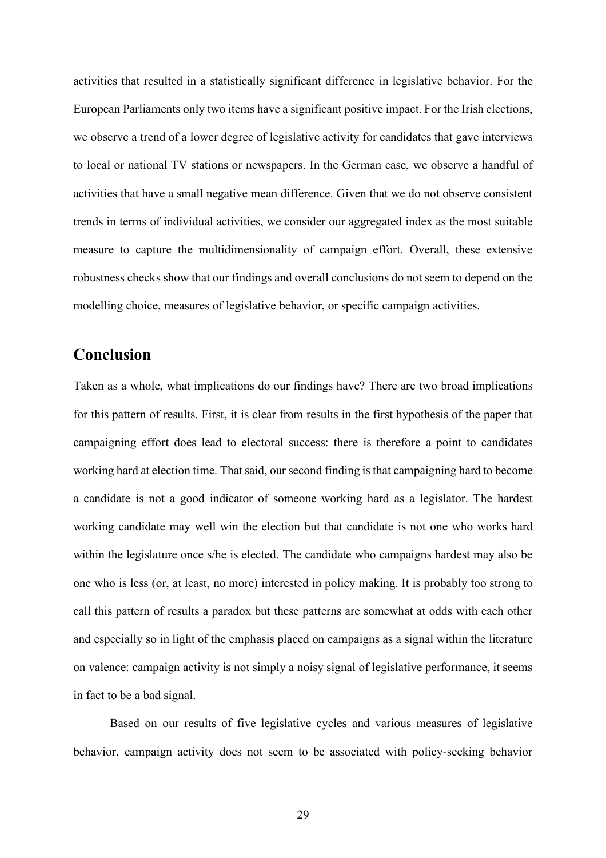activities that resulted in a statistically significant difference in legislative behavior. For the European Parliaments only two items have a significant positive impact. For the Irish elections, we observe a trend of a lower degree of legislative activity for candidates that gave interviews to local or national TV stations or newspapers. In the German case, we observe a handful of activities that have a small negative mean difference. Given that we do not observe consistent trends in terms of individual activities, we consider our aggregated index as the most suitable measure to capture the multidimensionality of campaign effort. Overall, these extensive robustness checks show that our findings and overall conclusions do not seem to depend on the modelling choice, measures of legislative behavior, or specific campaign activities.

# **Conclusion**

Taken as a whole, what implications do our findings have? There are two broad implications for this pattern of results. First, it is clear from results in the first hypothesis of the paper that campaigning effort does lead to electoral success: there is therefore a point to candidates working hard at election time. That said, our second finding is that campaigning hard to become a candidate is not a good indicator of someone working hard as a legislator. The hardest working candidate may well win the election but that candidate is not one who works hard within the legislature once s/he is elected. The candidate who campaigns hardest may also be one who is less (or, at least, no more) interested in policy making. It is probably too strong to call this pattern of results a paradox but these patterns are somewhat at odds with each other and especially so in light of the emphasis placed on campaigns as a signal within the literature on valence: campaign activity is not simply a noisy signal of legislative performance, it seems in fact to be a bad signal.

Based on our results of five legislative cycles and various measures of legislative behavior, campaign activity does not seem to be associated with policy-seeking behavior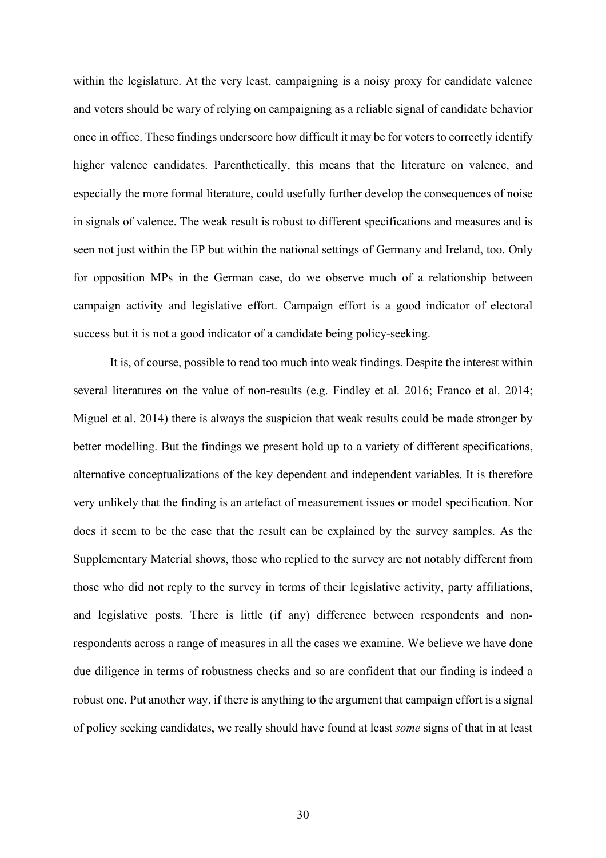within the legislature. At the very least, campaigning is a noisy proxy for candidate valence and voters should be wary of relying on campaigning as a reliable signal of candidate behavior once in office. These findings underscore how difficult it may be for voters to correctly identify higher valence candidates. Parenthetically, this means that the literature on valence, and especially the more formal literature, could usefully further develop the consequences of noise in signals of valence. The weak result is robust to different specifications and measures and is seen not just within the EP but within the national settings of Germany and Ireland, too. Only for opposition MPs in the German case, do we observe much of a relationship between campaign activity and legislative effort. Campaign effort is a good indicator of electoral success but it is not a good indicator of a candidate being policy-seeking.

It is, of course, possible to read too much into weak findings. Despite the interest within several literatures on the value of non-results (e.g. Findley et al. 2016; Franco et al. 2014; Miguel et al. 2014) there is always the suspicion that weak results could be made stronger by better modelling. But the findings we present hold up to a variety of different specifications, alternative conceptualizations of the key dependent and independent variables. It is therefore very unlikely that the finding is an artefact of measurement issues or model specification. Nor does it seem to be the case that the result can be explained by the survey samples. As the Supplementary Material shows, those who replied to the survey are not notably different from those who did not reply to the survey in terms of their legislative activity, party affiliations, and legislative posts. There is little (if any) difference between respondents and nonrespondents across a range of measures in all the cases we examine. We believe we have done due diligence in terms of robustness checks and so are confident that our finding is indeed a robust one. Put another way, if there is anything to the argument that campaign effort is a signal of policy seeking candidates, we really should have found at least *some* signs of that in at least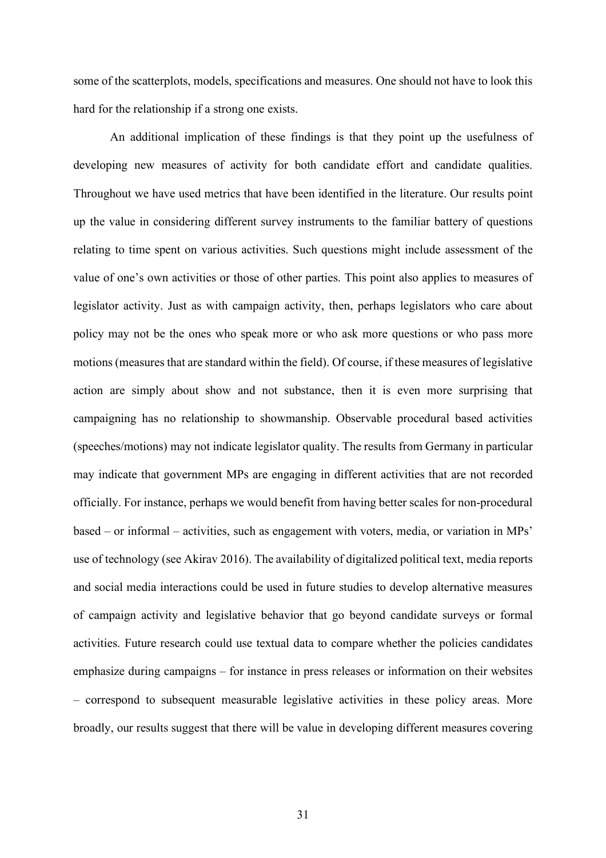some of the scatterplots, models, specifications and measures. One should not have to look this hard for the relationship if a strong one exists.

An additional implication of these findings is that they point up the usefulness of developing new measures of activity for both candidate effort and candidate qualities. Throughout we have used metrics that have been identified in the literature. Our results point up the value in considering different survey instruments to the familiar battery of questions relating to time spent on various activities. Such questions might include assessment of the value of one's own activities or those of other parties. This point also applies to measures of legislator activity. Just as with campaign activity, then, perhaps legislators who care about policy may not be the ones who speak more or who ask more questions or who pass more motions(measures that are standard within the field). Of course, if these measures of legislative action are simply about show and not substance, then it is even more surprising that campaigning has no relationship to showmanship. Observable procedural based activities (speeches/motions) may not indicate legislator quality. The results from Germany in particular may indicate that government MPs are engaging in different activities that are not recorded officially. For instance, perhaps we would benefit from having better scales for non-procedural based – or informal – activities, such as engagement with voters, media, or variation in MPs' use of technology (see Akirav 2016). The availability of digitalized political text, media reports and social media interactions could be used in future studies to develop alternative measures of campaign activity and legislative behavior that go beyond candidate surveys or formal activities. Future research could use textual data to compare whether the policies candidates emphasize during campaigns – for instance in press releases or information on their websites – correspond to subsequent measurable legislative activities in these policy areas. More broadly, our results suggest that there will be value in developing different measures covering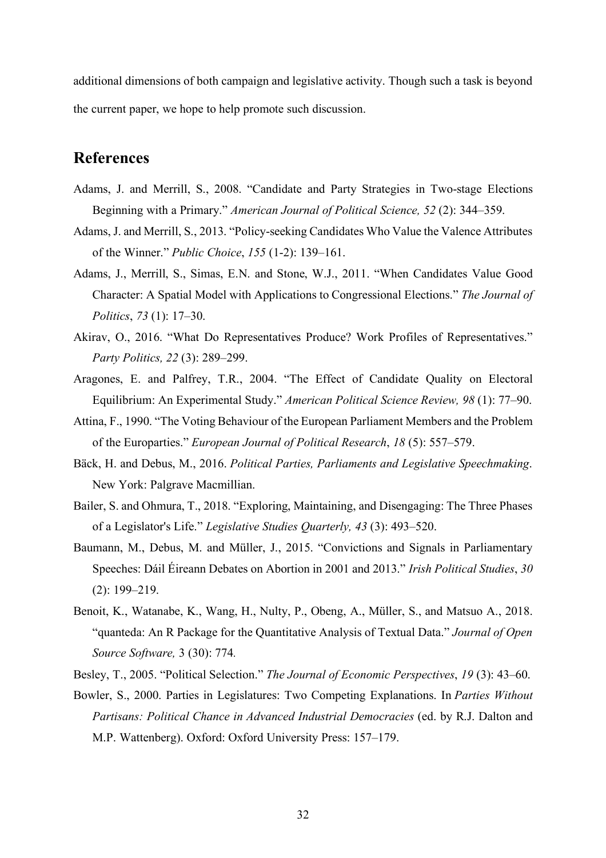additional dimensions of both campaign and legislative activity. Though such a task is beyond the current paper, we hope to help promote such discussion.

## **References**

- Adams, J. and Merrill, S., 2008. "Candidate and Party Strategies in Two-stage Elections Beginning with a Primary." *American Journal of Political Science, 52* (2): 344–359.
- Adams, J. and Merrill, S., 2013. "Policy-seeking Candidates Who Value the Valence Attributes of the Winner." *Public Choice*, *155* (1-2): 139–161.
- Adams, J., Merrill, S., Simas, E.N. and Stone, W.J., 2011. "When Candidates Value Good Character: A Spatial Model with Applications to Congressional Elections." *The Journal of Politics*, *73* (1): 17–30.
- Akirav, O., 2016. "What Do Representatives Produce? Work Profiles of Representatives." *Party Politics, 22* (3): 289–299.
- Aragones, E. and Palfrey, T.R., 2004. "The Effect of Candidate Quality on Electoral Equilibrium: An Experimental Study." *American Political Science Review, 98* (1): 77–90.
- Attina, F., 1990. "The Voting Behaviour of the European Parliament Members and the Problem of the Europarties." *European Journal of Political Research*, *18* (5): 557–579.
- Bäck, H. and Debus, M., 2016. *Political Parties, Parliaments and Legislative Speechmaking*. New York: Palgrave Macmillian.
- Bailer, S. and Ohmura, T., 2018. "Exploring, Maintaining, and Disengaging: The Three Phases of a Legislator's Life." *Legislative Studies Quarterly, 43* (3): 493–520.
- Baumann, M., Debus, M. and Müller, J., 2015. "Convictions and Signals in Parliamentary Speeches: Dáil Éireann Debates on Abortion in 2001 and 2013." *Irish Political Studies*, *30* (2): 199–219.
- Benoit, K., Watanabe, K., Wang, H., Nulty, P., Obeng, A., Müller, S., and Matsuo A., 2018. "quanteda: An R Package for the Quantitative Analysis of Textual Data." *Journal of Open Source Software,* 3 (30): 774*.*
- Besley, T., 2005. "Political Selection." *The Journal of Economic Perspectives*, *19* (3): 43–60.
- Bowler, S., 2000. Parties in Legislatures: Two Competing Explanations. In *Parties Without Partisans: Political Chance in Advanced Industrial Democracies* (ed. by R.J. Dalton and M.P. Wattenberg). Oxford: Oxford University Press: 157–179.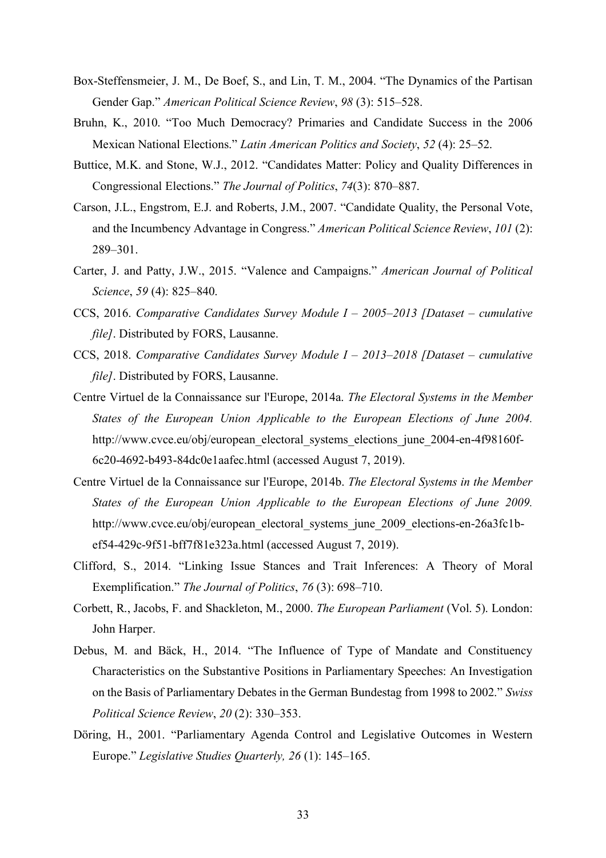- Box-Steffensmeier, J. M., De Boef, S., and Lin, T. M., 2004. "The Dynamics of the Partisan Gender Gap." *American Political Science Review*, *98* (3): 515–528.
- Bruhn, K., 2010. "Too Much Democracy? Primaries and Candidate Success in the 2006 Mexican National Elections." *Latin American Politics and Society*, *52* (4): 25–52.
- Buttice, M.K. and Stone, W.J., 2012. "Candidates Matter: Policy and Quality Differences in Congressional Elections." *The Journal of Politics*, *74*(3): 870–887.
- Carson, J.L., Engstrom, E.J. and Roberts, J.M., 2007. "Candidate Quality, the Personal Vote, and the Incumbency Advantage in Congress." *American Political Science Review*, *101* (2): 289–301.
- Carter, J. and Patty, J.W., 2015. "Valence and Campaigns." *American Journal of Political Science*, *59* (4): 825–840.
- CCS, 2016. *Comparative Candidates Survey Module I – 2005–2013 [Dataset – cumulative file]*. Distributed by FORS, Lausanne.
- CCS, 2018. *Comparative Candidates Survey Module I – 2013–2018 [Dataset – cumulative file]*. Distributed by FORS, Lausanne.
- Centre Virtuel de la Connaissance sur l'Europe, 2014a. *The Electoral Systems in the Member States of the European Union Applicable to the European Elections of June 2004.* http://www.cvce.eu/obj/european\_electoral\_systems\_elections\_june\_2004-en-4f98160f-6c20-4692-b493-84dc0e1aafec.html (accessed August 7, 2019).
- Centre Virtuel de la Connaissance sur l'Europe, 2014b. *The Electoral Systems in the Member States of the European Union Applicable to the European Elections of June 2009.* http://www.cvce.eu/obj/european\_electoral\_systems\_june\_2009\_elections-en-26a3fc1bef54-429c-9f51-bff7f81e323a.html (accessed August 7, 2019).
- Clifford, S., 2014. "Linking Issue Stances and Trait Inferences: A Theory of Moral Exemplification." *The Journal of Politics*, *76* (3): 698–710.
- Corbett, R., Jacobs, F. and Shackleton, M., 2000. *The European Parliament* (Vol. 5). London: John Harper.
- Debus, M. and Bäck, H., 2014. "The Influence of Type of Mandate and Constituency Characteristics on the Substantive Positions in Parliamentary Speeches: An Investigation on the Basis of Parliamentary Debates in the German Bundestag from 1998 to 2002." *Swiss Political Science Review*, *20* (2): 330–353.
- Döring, H., 2001. "Parliamentary Agenda Control and Legislative Outcomes in Western Europe." *Legislative Studies Quarterly, 26* (1): 145–165.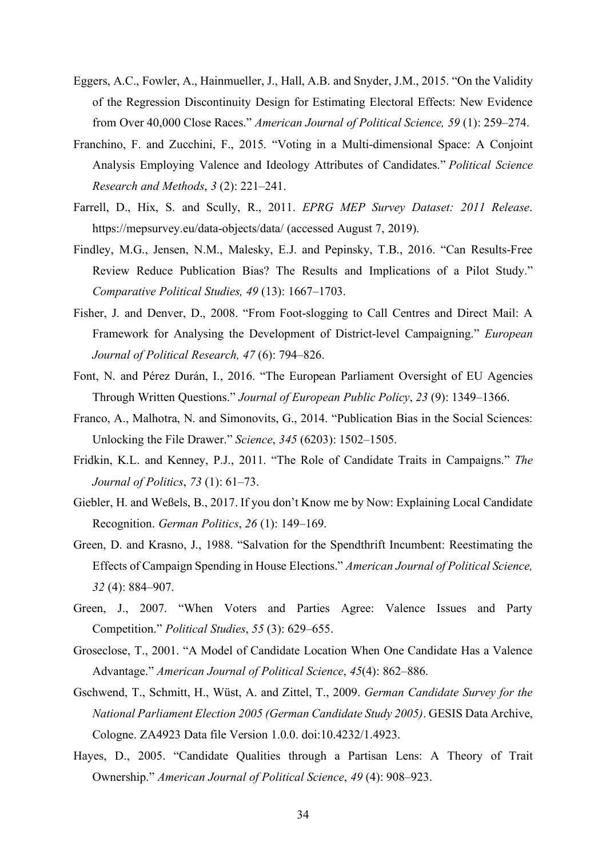- Eggers, A.C., Fowler, A., Hainmueller, J., Hall, A.B. and Snyder, J.M., 2015. "On the Validity of the Regression Discontinuity Design for Estimating Electoral Effects: New Evidence from Over 40,000 Close Races." *American Journal of Political Science, 59* (1): 259–274.
- Franchino, F. and Zucchini, F., 2015. "Voting in a Multi-dimensional Space: A Conjoint Analysis Employing Valence and Ideology Attributes of Candidates." *Political Science Research and Methods*, *3* (2): 221–241.
- Farrell, D., Hix, S. and Scully, R., 2011. *EPRG MEP Survey Dataset: 2011 Release*. https://mepsurvey.eu/data-objects/data/ (accessed August 7, 2019).
- Findley, M.G., Jensen, N.M., Malesky, E.J. and Pepinsky, T.B., 2016. "Can Results-Free Review Reduce Publication Bias? The Results and Implications of a Pilot Study." *Comparative Political Studies, 49* (13): 1667–1703.
- Fisher, J. and Denver, D., 2008. "From Foot-slogging to Call Centres and Direct Mail: A Framework for Analysing the Development of District-level Campaigning." *European Journal of Political Research, 47* (6): 794–826.
- Font, N. and Pérez Durán, I., 2016. "The European Parliament Oversight of EU Agencies Through Written Questions." *Journal of European Public Policy*, *23* (9): 1349–1366.
- Franco, A., Malhotra, N. and Simonovits, G., 2014. "Publication Bias in the Social Sciences: Unlocking the File Drawer." *Science*, *345* (6203): 1502–1505.
- Fridkin, K.L. and Kenney, P.J., 2011. "The Role of Candidate Traits in Campaigns." *The Journal of Politics*, *73* (1): 61–73.
- Giebler, H. and Weßels, B., 2017. If you don't Know me by Now: Explaining Local Candidate Recognition. *German Politics*, *26* (1): 149–169.
- Green, D. and Krasno, J., 1988. "Salvation for the Spendthrift Incumbent: Reestimating the Effects of Campaign Spending in House Elections." *American Journal of Political Science, 32* (4): 884–907.
- Green, J., 2007. "When Voters and Parties Agree: Valence Issues and Party Competition." *Political Studies*, *55* (3): 629–655.
- Groseclose, T., 2001. "A Model of Candidate Location When One Candidate Has a Valence Advantage." *American Journal of Political Science*, *45*(4): 862–886.
- Gschwend, T., Schmitt, H., Wüst, A. and Zittel, T., 2009. *German Candidate Survey for the National Parliament Election 2005 (German Candidate Study 2005)*. GESIS Data Archive, Cologne. ZA4923 Data file Version 1.0.0. doi:10.4232/1.4923.
- Hayes, D., 2005. "Candidate Qualities through a Partisan Lens: A Theory of Trait Ownership." *American Journal of Political Science*, *49* (4): 908–923.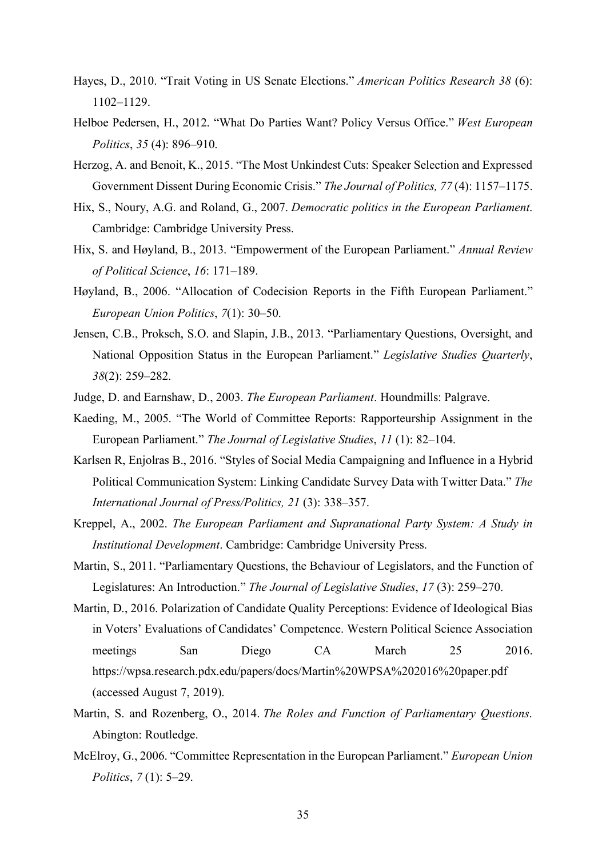- Hayes, D., 2010. "Trait Voting in US Senate Elections." *American Politics Research 38* (6): 1102–1129.
- Helboe Pedersen, H., 2012. "What Do Parties Want? Policy Versus Office." *West European Politics*, *35* (4): 896–910.
- Herzog, A. and Benoit, K., 2015. "The Most Unkindest Cuts: Speaker Selection and Expressed Government Dissent During Economic Crisis." *The Journal of Politics, 77* (4): 1157–1175.
- Hix, S., Noury, A.G. and Roland, G., 2007. *Democratic politics in the European Parliament*. Cambridge: Cambridge University Press.
- Hix, S. and Høyland, B., 2013. "Empowerment of the European Parliament." *Annual Review of Political Science*, *16*: 171–189.
- Høyland, B., 2006. "Allocation of Codecision Reports in the Fifth European Parliament." *European Union Politics*, *7*(1): 30–50.
- Jensen, C.B., Proksch, S.O. and Slapin, J.B., 2013. "Parliamentary Questions, Oversight, and National Opposition Status in the European Parliament." *Legislative Studies Quarterly*, *38*(2): 259–282.
- Judge, D. and Earnshaw, D., 2003. *The European Parliament*. Houndmills: Palgrave.
- Kaeding, M., 2005. "The World of Committee Reports: Rapporteurship Assignment in the European Parliament." *The Journal of Legislative Studies*, *11* (1): 82–104.
- Karlsen R, Enjolras B., 2016. "Styles of Social Media Campaigning and Influence in a Hybrid Political Communication System: Linking Candidate Survey Data with Twitter Data." *The International Journal of Press/Politics, 21* (3): 338–357.
- Kreppel, A., 2002. *The European Parliament and Supranational Party System: A Study in Institutional Development*. Cambridge: Cambridge University Press.
- Martin, S., 2011. "Parliamentary Questions, the Behaviour of Legislators, and the Function of Legislatures: An Introduction." *The Journal of Legislative Studies*, *17* (3): 259–270.
- Martin, D., 2016. Polarization of Candidate Quality Perceptions: Evidence of Ideological Bias in Voters' Evaluations of Candidates' Competence. Western Political Science Association meetings San Diego CA March 25 2016. https://wpsa.research.pdx.edu/papers/docs/Martin%20WPSA%202016%20paper.pdf (accessed August 7, 2019).
- Martin, S. and Rozenberg, O., 2014. *The Roles and Function of Parliamentary Questions*. Abington: Routledge.
- McElroy, G., 2006. "Committee Representation in the European Parliament." *European Union Politics*, *7* (1): 5–29.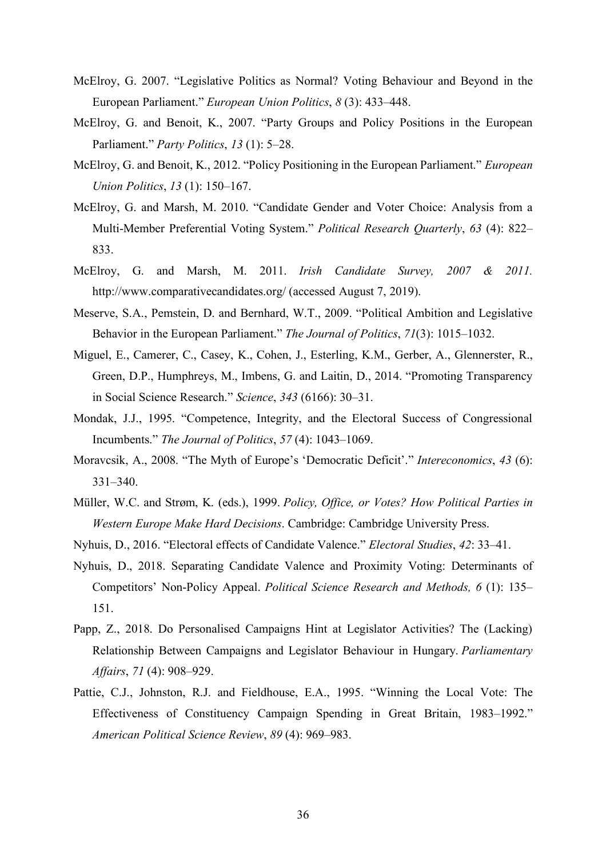- McElroy, G. 2007. "Legislative Politics as Normal? Voting Behaviour and Beyond in the European Parliament." *European Union Politics*, *8* (3): 433–448.
- McElroy, G. and Benoit, K., 2007. "Party Groups and Policy Positions in the European Parliament." *Party Politics*, *13* (1): 5–28.
- McElroy, G. and Benoit, K., 2012. "Policy Positioning in the European Parliament." *European Union Politics*, *13* (1): 150–167.
- McElroy, G. and Marsh, M. 2010. "Candidate Gender and Voter Choice: Analysis from a Multi-Member Preferential Voting System." *Political Research Quarterly*, *63* (4): 822– 833.
- McElroy, G. and Marsh, M. 2011. *Irish Candidate Survey, 2007 & 2011.*  http://www.comparativecandidates.org/ (accessed August 7, 2019).
- Meserve, S.A., Pemstein, D. and Bernhard, W.T., 2009. "Political Ambition and Legislative Behavior in the European Parliament." *The Journal of Politics*, *71*(3): 1015–1032.
- Miguel, E., Camerer, C., Casey, K., Cohen, J., Esterling, K.M., Gerber, A., Glennerster, R., Green, D.P., Humphreys, M., Imbens, G. and Laitin, D., 2014. "Promoting Transparency in Social Science Research." *Science*, *343* (6166): 30–31.
- Mondak, J.J., 1995. "Competence, Integrity, and the Electoral Success of Congressional Incumbents." *The Journal of Politics*, *57* (4): 1043–1069.
- Moravcsik, A., 2008. "The Myth of Europe's 'Democratic Deficit'." *Intereconomics*, *43* (6): 331–340.
- Müller, W.C. and Strøm, K. (eds.), 1999. *Policy, Office, or Votes? How Political Parties in Western Europe Make Hard Decisions*. Cambridge: Cambridge University Press.
- Nyhuis, D., 2016. "Electoral effects of Candidate Valence." *Electoral Studies*, *42*: 33–41.
- Nyhuis, D., 2018. Separating Candidate Valence and Proximity Voting: Determinants of Competitors' Non-Policy Appeal. *Political Science Research and Methods, 6* (1): 135– 151.
- Papp, Z., 2018. Do Personalised Campaigns Hint at Legislator Activities? The (Lacking) Relationship Between Campaigns and Legislator Behaviour in Hungary. *Parliamentary Affairs*, *71* (4): 908–929.
- Pattie, C.J., Johnston, R.J. and Fieldhouse, E.A., 1995. "Winning the Local Vote: The Effectiveness of Constituency Campaign Spending in Great Britain, 1983–1992." *American Political Science Review*, *89* (4): 969–983.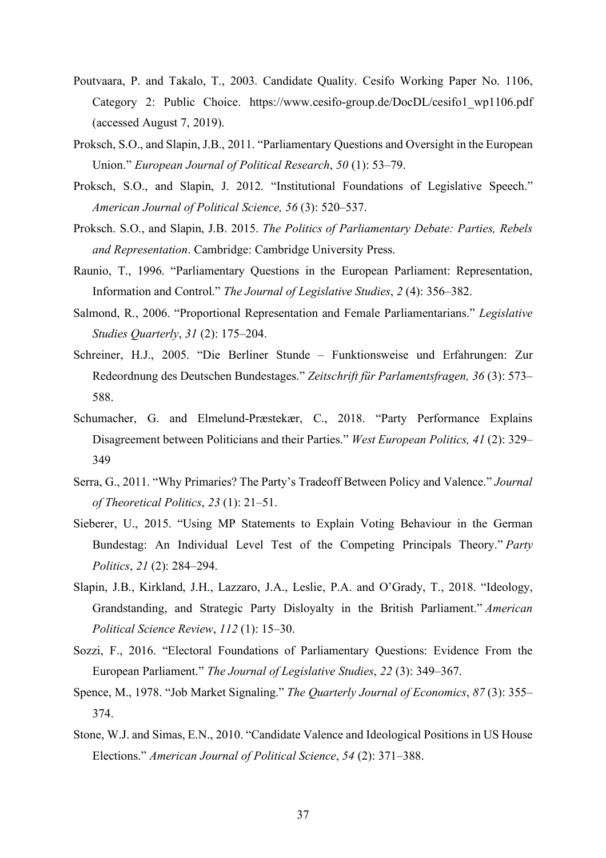- Poutvaara, P. and Takalo, T., 2003. Candidate Quality. Cesifo Working Paper No. 1106, Category 2: Public Choice. https://www.cesifo-group.de/DocDL/cesifo1\_wp1106.pdf (accessed August 7, 2019).
- Proksch, S.O., and Slapin, J.B., 2011. "Parliamentary Questions and Oversight in the European Union." *European Journal of Political Research*, *50* (1): 53–79.
- Proksch, S.O., and Slapin, J. 2012. "Institutional Foundations of Legislative Speech." *American Journal of Political Science, 56* (3): 520–537.
- Proksch. S.O., and Slapin, J.B. 2015. *The Politics of Parliamentary Debate: Parties, Rebels and Representation*. Cambridge: Cambridge University Press.
- Raunio, T., 1996. "Parliamentary Questions in the European Parliament: Representation, Information and Control." *The Journal of Legislative Studies*, *2* (4): 356–382.
- Salmond, R., 2006. "Proportional Representation and Female Parliamentarians." *Legislative Studies Quarterly*, *31* (2): 175–204.
- Schreiner, H.J., 2005. "Die Berliner Stunde Funktionsweise und Erfahrungen: Zur Redeordnung des Deutschen Bundestages." *Zeitschrift für Parlamentsfragen, 36* (3): 573– 588.
- Schumacher, G. and Elmelund-Præstekær, C., 2018. "Party Performance Explains Disagreement between Politicians and their Parties." *West European Politics, 41* (2): 329– 349
- Serra, G., 2011. "Why Primaries? The Party's Tradeoff Between Policy and Valence." *Journal of Theoretical Politics*, *23* (1): 21–51.
- Sieberer, U., 2015. "Using MP Statements to Explain Voting Behaviour in the German Bundestag: An Individual Level Test of the Competing Principals Theory." *Party Politics*, *21* (2): 284–294.
- Slapin, J.B., Kirkland, J.H., Lazzaro, J.A., Leslie, P.A. and O'Grady, T., 2018. "Ideology, Grandstanding, and Strategic Party Disloyalty in the British Parliament." *American Political Science Review*, *112* (1): 15–30.
- Sozzi, F., 2016. "Electoral Foundations of Parliamentary Questions: Evidence From the European Parliament." *The Journal of Legislative Studies*, *22* (3): 349–367.
- Spence, M., 1978. "Job Market Signaling." *The Quarterly Journal of Economics*, *87* (3): 355– 374.
- Stone, W.J. and Simas, E.N., 2010. "Candidate Valence and Ideological Positions in US House Elections." *American Journal of Political Science*, *54* (2): 371–388.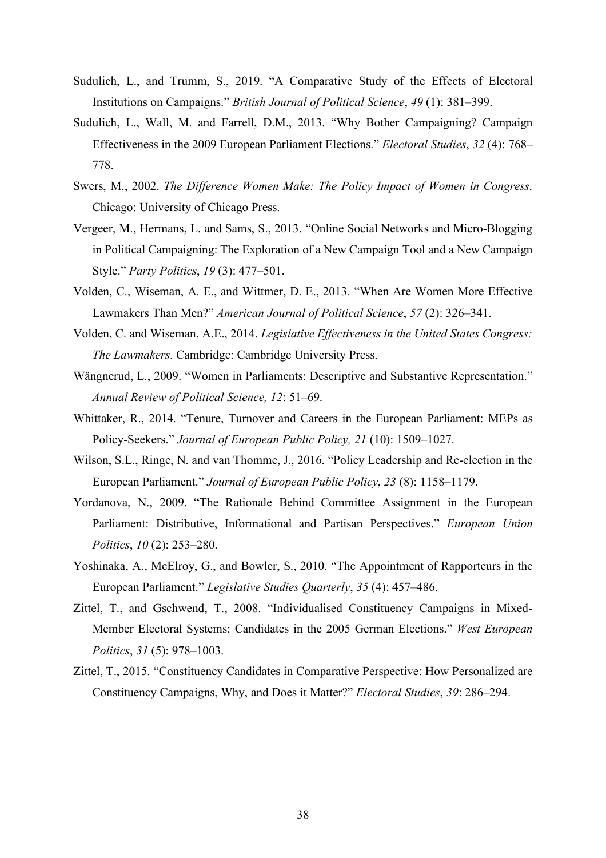- Sudulich, L., and Trumm, S., 2019. "A Comparative Study of the Effects of Electoral Institutions on Campaigns." *British Journal of Political Science*, *49* (1): 381–399.
- Sudulich, L., Wall, M. and Farrell, D.M., 2013. "Why Bother Campaigning? Campaign Effectiveness in the 2009 European Parliament Elections." *Electoral Studies*, *32* (4): 768– 778.
- Swers, M., 2002. *The Difference Women Make: The Policy Impact of Women in Congress*. Chicago: University of Chicago Press.
- Vergeer, M., Hermans, L. and Sams, S., 2013. "Online Social Networks and Micro-Blogging in Political Campaigning: The Exploration of a New Campaign Tool and a New Campaign Style." *Party Politics*, *19* (3): 477–501.
- Volden, C., Wiseman, A. E., and Wittmer, D. E., 2013. "When Are Women More Effective Lawmakers Than Men?" *American Journal of Political Science*, *57* (2): 326–341.
- Volden, C. and Wiseman, A.E., 2014. *Legislative Effectiveness in the United States Congress: The Lawmakers*. Cambridge: Cambridge University Press.
- Wängnerud, L., 2009. "Women in Parliaments: Descriptive and Substantive Representation." *Annual Review of Political Science, 12*: 51–69.
- Whittaker, R., 2014. "Tenure, Turnover and Careers in the European Parliament: MEPs as Policy-Seekers." *Journal of European Public Policy, 21* (10): 1509–1027.
- Wilson, S.L., Ringe, N. and van Thomme, J., 2016. "Policy Leadership and Re-election in the European Parliament." *Journal of European Public Policy*, *23* (8): 1158–1179.
- Yordanova, N., 2009. "The Rationale Behind Committee Assignment in the European Parliament: Distributive, Informational and Partisan Perspectives." *European Union Politics*, *10* (2): 253–280.
- Yoshinaka, A., McElroy, G., and Bowler, S., 2010. "The Appointment of Rapporteurs in the European Parliament." *Legislative Studies Quarterly*, *35* (4): 457–486.
- Zittel, T., and Gschwend, T., 2008. "Individualised Constituency Campaigns in Mixed-Member Electoral Systems: Candidates in the 2005 German Elections." *West European Politics*, *31* (5): 978–1003.
- Zittel, T., 2015. "Constituency Candidates in Comparative Perspective: How Personalized are Constituency Campaigns, Why, and Does it Matter?" *Electoral Studies*, *39*: 286–294.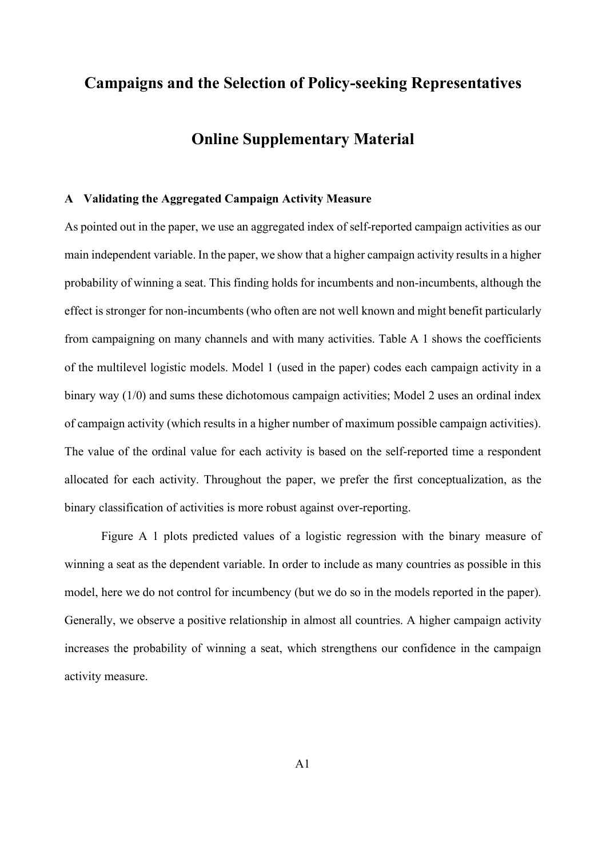### **Campaigns and the Selection of Policy-seeking Representatives**

## **Online Supplementary Material**

### **A Validating the Aggregated Campaign Activity Measure**

As pointed out in the paper, we use an aggregated index of self-reported campaign activities as our main independent variable. In the paper, we show that a higher campaign activity results in a higher probability of winning a seat. This finding holds for incumbents and non-incumbents, although the effect is stronger for non-incumbents (who often are not well known and might benefit particularly from campaigning on many channels and with many activities. Table A 1 shows the coefficients of the multilevel logistic models. Model 1 (used in the paper) codes each campaign activity in a binary way (1/0) and sums these dichotomous campaign activities; Model 2 uses an ordinal index of campaign activity (which results in a higher number of maximum possible campaign activities). The value of the ordinal value for each activity is based on the self-reported time a respondent allocated for each activity. Throughout the paper, we prefer the first conceptualization, as the binary classification of activities is more robust against over-reporting.

Figure A 1 plots predicted values of a logistic regression with the binary measure of winning a seat as the dependent variable. In order to include as many countries as possible in this model, here we do not control for incumbency (but we do so in the models reported in the paper). Generally, we observe a positive relationship in almost all countries. A higher campaign activity increases the probability of winning a seat, which strengthens our confidence in the campaign activity measure.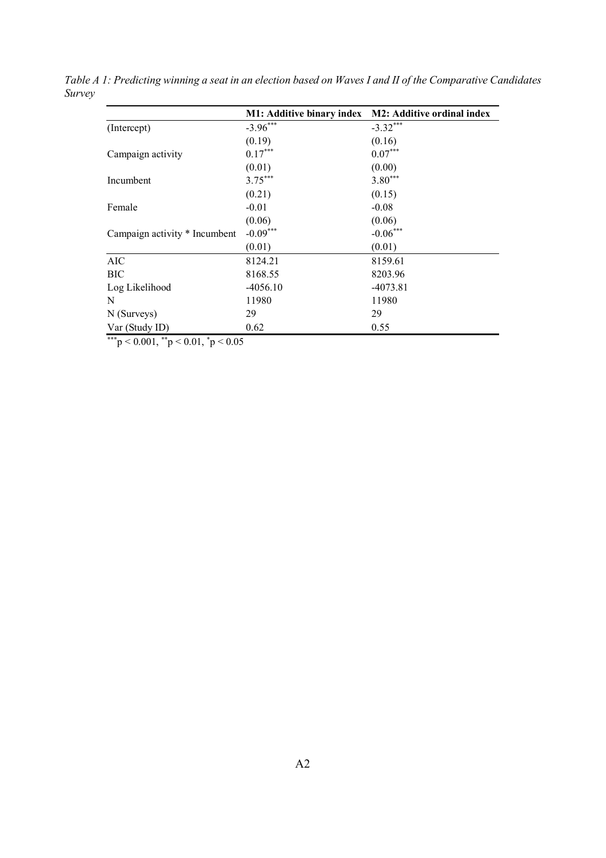|                               | M1: Additive binary index | <b>M2: Additive ordinal index</b> |
|-------------------------------|---------------------------|-----------------------------------|
| (Intercept)                   | $-3.96***$                | $-3.32***$                        |
|                               | (0.19)                    | (0.16)                            |
| Campaign activity             | $0.17***$                 | $0.07***$                         |
|                               | (0.01)                    | (0.00)                            |
| Incumbent                     | $3.75***$                 | $3.80***$                         |
|                               | (0.21)                    | (0.15)                            |
| Female                        | $-0.01$                   | $-0.08$                           |
|                               | (0.06)                    | (0.06)                            |
| Campaign activity * Incumbent | $-0.09***$                | $-0.06***$                        |
|                               | (0.01)                    | (0.01)                            |
| <b>AIC</b>                    | 8124.21                   | 8159.61                           |
| BIC                           | 8168.55                   | 8203.96                           |
| Log Likelihood                | $-4056.10$                | $-4073.81$                        |
| N                             | 11980                     | 11980                             |
| N (Surveys)                   | 29                        | 29                                |
| Var (Study ID)                | 0.62                      | 0.55                              |

*Table A 1: Predicting winning a seat in an election based on Waves I and II of the Comparative Candidates Survey*

\*\*\*p < 0.001,  $*$ <sup>\*</sup>p < 0.01,  $*$ p < 0.05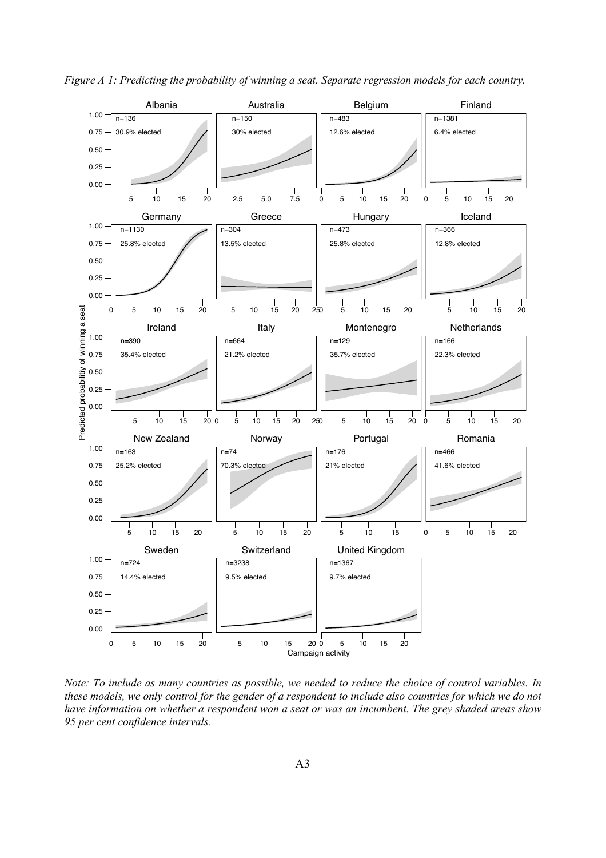

*Figure A 1: Predicting the probability of winning a seat. Separate regression models for each country.*

*Note: To include as many countries as possible, we needed to reduce the choice of control variables. In these models, we only control for the gender of a respondent to include also countries for which we do not have information on whether a respondent won a seat or was an incumbent. The grey shaded areas show 95 per cent confidence intervals.*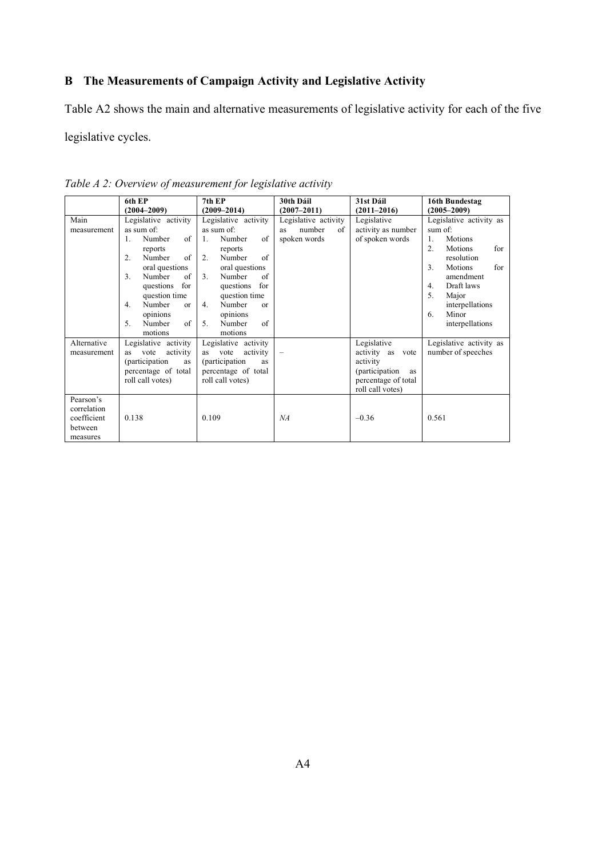# **B The Measurements of Campaign Activity and Legislative Activity**

Table A2 shows the main and alternative measurements of legislative activity for each of the five legislative cycles.

|                                                                | 6th EP<br>$(2004 - 2009)$                                                                                                                                                                                                                                                                   | 7th EP<br>$(2009 - 2014)$                                                                                                                                                                                                                                                                            | 30th Dáil<br>$(2007 - 2011)$                               | 31st Dáil<br>$(2011 - 2016)$                                                                                              | 16th Bundestag<br>$(2005 - 2009)$                                                                                                                                                                                                                                               |
|----------------------------------------------------------------|---------------------------------------------------------------------------------------------------------------------------------------------------------------------------------------------------------------------------------------------------------------------------------------------|------------------------------------------------------------------------------------------------------------------------------------------------------------------------------------------------------------------------------------------------------------------------------------------------------|------------------------------------------------------------|---------------------------------------------------------------------------------------------------------------------------|---------------------------------------------------------------------------------------------------------------------------------------------------------------------------------------------------------------------------------------------------------------------------------|
| Main<br>measurement                                            | Legislative activity<br>as sum of:<br>of<br>Number<br>$1_{-}$<br>reports<br>of<br>$\overline{2}$ .<br>Number<br>oral questions<br>of<br>3 <sub>1</sub><br>Number<br>for<br>questions<br>question time<br>Number<br>4 <sup>1</sup><br><b>or</b><br>opinions<br>of<br>5.<br>Number<br>motions | Legislative activity<br>as sum of:<br>of<br>Number<br>$1_{-}$<br>reports<br>of<br>2 <sup>1</sup><br>Number<br>oral questions<br>of<br>3 <sub>1</sub><br>Number<br>for<br>questions<br>question time<br>Number<br>4 <sup>1</sup><br>$\alpha$<br>opinions<br>of<br>5 <sub>1</sub><br>Number<br>motions | Legislative activity<br>number<br>of<br>as<br>spoken words | Legislative<br>activity as number<br>of spoken words                                                                      | Legislative activity as<br>sum of:<br>1.<br><b>Motions</b><br>2.<br>for<br><b>Motions</b><br>resolution<br>for<br>3 <sub>1</sub><br><b>Motions</b><br>amendment<br>Draft laws<br>4 <sup>1</sup><br>5 <sub>1</sub><br>Major<br>interpellations<br>Minor<br>6.<br>interpellations |
| Alternative<br>measurement                                     | Legislative activity<br>activity<br>vote<br><b>as</b><br>(participation)<br>as<br>percentage of total<br>roll call votes)                                                                                                                                                                   | Legislative activity<br>activity<br>vote<br>as<br>(participation<br>as<br>percentage of total<br>roll call votes)                                                                                                                                                                                    |                                                            | Legislative<br>activity as<br>vote<br>activity<br><i>(participation)</i><br>as<br>percentage of total<br>roll call votes) | Legislative activity as<br>number of speeches                                                                                                                                                                                                                                   |
| Pearson's<br>correlation<br>coefficient<br>between<br>measures | 0.138                                                                                                                                                                                                                                                                                       | 0.109                                                                                                                                                                                                                                                                                                | NA                                                         | $-0.36$                                                                                                                   | 0.561                                                                                                                                                                                                                                                                           |

*Table A 2: Overview of measurement for legislative activity*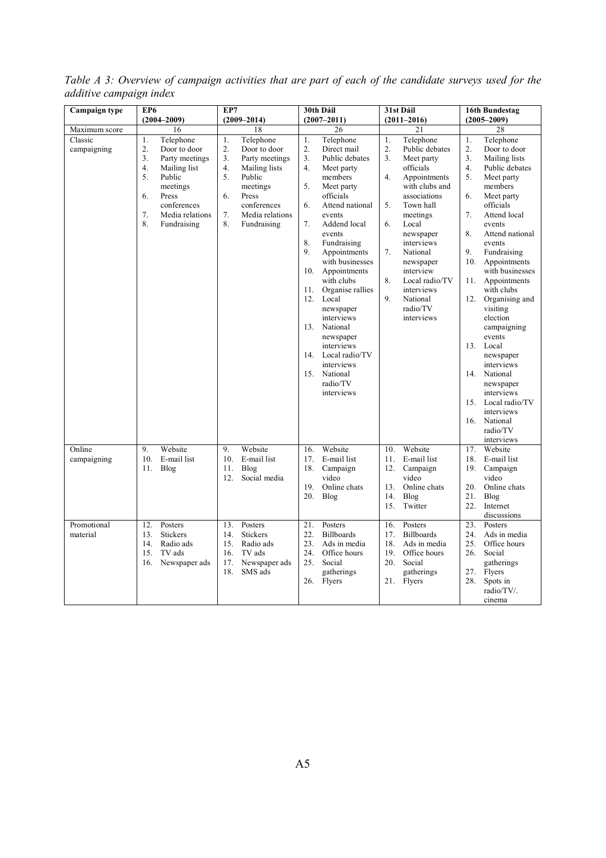| Campaign type           | EP6<br>$(2004 - 2009)$                                                                                                                                                                      | EP7<br>$(2009 - 2014)$                                                                                                                                                                       | 30th Dáil<br>$(2007 - 2011)$                                                                                                                                                                                                                                                                                                                                                                                                                                                                                                         | 31st Dáil<br>$(2011 - 2016)$                                                                                                                                                                                                                                                                                                            | 16th Bundestag<br>$(2005 - 2009)$                                                                                                                                                                                                                                                                                                                                                                                                                                                                                                                                                  |  |
|-------------------------|---------------------------------------------------------------------------------------------------------------------------------------------------------------------------------------------|----------------------------------------------------------------------------------------------------------------------------------------------------------------------------------------------|--------------------------------------------------------------------------------------------------------------------------------------------------------------------------------------------------------------------------------------------------------------------------------------------------------------------------------------------------------------------------------------------------------------------------------------------------------------------------------------------------------------------------------------|-----------------------------------------------------------------------------------------------------------------------------------------------------------------------------------------------------------------------------------------------------------------------------------------------------------------------------------------|------------------------------------------------------------------------------------------------------------------------------------------------------------------------------------------------------------------------------------------------------------------------------------------------------------------------------------------------------------------------------------------------------------------------------------------------------------------------------------------------------------------------------------------------------------------------------------|--|
| Maximum score           | 16                                                                                                                                                                                          | 18                                                                                                                                                                                           | 26                                                                                                                                                                                                                                                                                                                                                                                                                                                                                                                                   | 21                                                                                                                                                                                                                                                                                                                                      | 28                                                                                                                                                                                                                                                                                                                                                                                                                                                                                                                                                                                 |  |
| Classic<br>campaigning  | 1.<br>Telephone<br>2.<br>Door to door<br>3.<br>Party meetings<br>4.<br>Mailing list<br>5.<br>Public<br>meetings<br>Press<br>6.<br>conferences<br>7.<br>Media relations<br>8.<br>Fundraising | 1.<br>Telephone<br>2.<br>Door to door<br>3.<br>Party meetings<br>4.<br>Mailing lists<br>5.<br>Public<br>meetings<br>6.<br>Press<br>conferences<br>7.<br>Media relations<br>8.<br>Fundraising | Telephone<br>1.<br>$\overline{2}$ .<br>Direct mail<br>3.<br>Public debates<br>4 <sup>1</sup><br>Meet party<br>members<br>5.<br>Meet party<br>officials<br>6.<br>Attend national<br>events<br>7.<br>Addend local<br>events<br>8.<br>Fundraising<br>9.<br>Appointments<br>with businesses<br>10.<br>Appointments<br>with clubs<br>Organise rallies<br>11.<br>12.<br>Local<br>newspaper<br>interviews<br>National<br>13.<br>newspaper<br>interviews<br>14.<br>Local radio/TV<br>interviews<br>National<br>15.<br>radio/TV<br>interviews | 1.<br>Telephone<br>2.<br>Public debates<br>3.<br>Meet party<br>officials<br>4.<br>Appointments<br>with clubs and<br>associations<br>5.<br>Town hall<br>meetings<br>6.<br>Local<br>newspaper<br>interviews<br>7.<br>National<br>newspaper<br>interview<br>8.<br>Local radio/TV<br>interviews<br>9.<br>National<br>radio/TV<br>interviews | Telephone<br>1.<br>2.<br>Door to door<br>3.<br>Mailing lists<br>4.<br>Public debates<br>5.<br>Meet party<br>members<br>6.<br>Meet party<br>officials<br>7.<br>Attend local<br>events<br>8.<br>Attend national<br>events<br>9.<br>Fundraising<br>10.<br>Appointments<br>with businesses<br>Appointments<br>11.<br>with clubs<br>12.<br>Organising and<br>visiting<br>election<br>campaigning<br>events<br>13.<br>Local<br>newspaper<br>interviews<br>National<br>14.<br>newspaper<br>interviews<br>Local radio/TV<br>15.<br>interviews<br>16.<br>National<br>radio/TV<br>interviews |  |
| Online<br>campaigning   | Website<br>9<br>10.<br>E-mail list<br><b>Blog</b><br>11.                                                                                                                                    | 9.<br>Website<br>10.<br>E-mail list<br>Blog<br>11.<br>Social media<br>12.                                                                                                                    | Website<br>16.<br>E-mail list<br>17.<br>Campaign<br>18.<br>video<br>19.<br>Online chats<br>20.<br>Blog                                                                                                                                                                                                                                                                                                                                                                                                                               | 10 <sub>1</sub><br>Website<br>E-mail list<br>11.<br>12.<br>Campaign<br>video<br>Online chats<br>13.<br>Blog<br>14.<br>Twitter<br>15.                                                                                                                                                                                                    | Website<br>17.<br>E-mail list<br>18.<br>Campaign<br>19.<br>video<br>Online chats<br>20.<br>21.<br>Blog<br>22.<br>Internet<br>discussions                                                                                                                                                                                                                                                                                                                                                                                                                                           |  |
| Promotional<br>material | Posters<br>12.<br>13.<br>Stickers<br>Radio ads<br>14.<br>15.<br>TV ads<br>Newspaper ads<br>16.                                                                                              | 13.<br>Posters<br>14.<br><b>Stickers</b><br>15.<br>Radio ads<br>16.<br>TV ads<br>Newspaper ads<br>17.<br>18.<br>SMS ads                                                                      | 21<br>Posters<br><b>Billboards</b><br>22.<br>23.<br>Ads in media<br>24.<br>Office hours<br>Social<br>25.<br>gatherings<br>26.<br>Flyers                                                                                                                                                                                                                                                                                                                                                                                              | 16.<br>Posters<br>17.<br><b>Billboards</b><br>18.<br>Ads in media<br>19.<br>Office hours<br>Social<br>20.<br>gatherings<br>21. Flyers                                                                                                                                                                                                   | Posters<br>23.<br>24.<br>Ads in media<br>25.<br>Office hours<br>26.<br>Social<br>gatherings<br>27.<br>Flyers<br>Spots in<br>28.<br>radio/TV/.<br>cinema                                                                                                                                                                                                                                                                                                                                                                                                                            |  |

*Table A 3: Overview of campaign activities that are part of each of the candidate surveys used for the additive campaign index*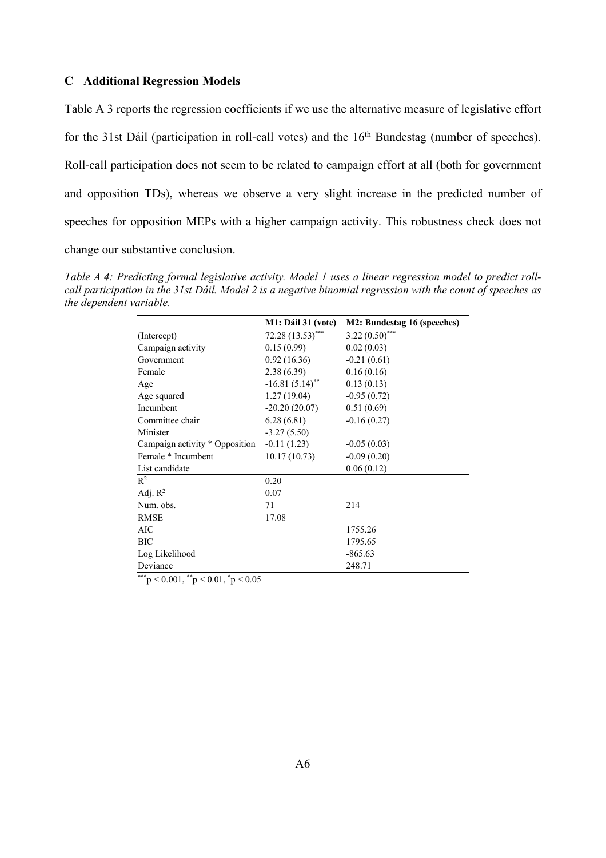### **C Additional Regression Models**

Table A 3 reports the regression coefficients if we use the alternative measure of legislative effort for the 31st Dáil (participation in roll-call votes) and the 16<sup>th</sup> Bundestag (number of speeches). Roll-call participation does not seem to be related to campaign effort at all (both for government and opposition TDs), whereas we observe a very slight increase in the predicted number of speeches for opposition MEPs with a higher campaign activity. This robustness check does not change our substantive conclusion.

*Table A 4: Predicting formal legislative activity. Model 1 uses a linear regression model to predict rollcall participation in the 31st Dáil. Model 2 is a negative binomial regression with the count of speeches as the dependent variable.*

|                                | M1: Dáil 31 (vote)           | M2: Bundestag 16 (speeches) |
|--------------------------------|------------------------------|-----------------------------|
| (Intercept)                    | 72.28 (13.53)***             | $3.22(0.50)$ ***            |
| Campaign activity              | 0.15(0.99)                   | 0.02(0.03)                  |
| Government                     | 0.92(16.36)                  | $-0.21(0.61)$               |
| Female                         | 2.38(6.39)                   | 0.16(0.16)                  |
| Age                            | $-16.81(5.14)$ <sup>**</sup> | 0.13(0.13)                  |
| Age squared                    | 1.27(19.04)                  | $-0.95(0.72)$               |
| Incumbent                      | $-20.20(20.07)$              | 0.51(0.69)                  |
| Committee chair                | 6.28(6.81)                   | $-0.16(0.27)$               |
| Minister                       | $-3.27(5.50)$                |                             |
| Campaign activity * Opposition | $-0.11(1.23)$                | $-0.05(0.03)$               |
| Female * Incumbent             | 10.17(10.73)                 | $-0.09(0.20)$               |
| List candidate                 |                              | 0.06(0.12)                  |
| $R^2$                          | 0.20                         |                             |
| Adj. $R^2$                     | 0.07                         |                             |
| Num. obs.                      | 71                           | 214                         |
| <b>RMSE</b>                    | 17.08                        |                             |
| <b>AIC</b>                     |                              | 1755.26                     |
| <b>BIC</b>                     |                              | 1795.65                     |
| Log Likelihood                 |                              | $-865.63$                   |
| Deviance                       |                              | 248.71                      |

\*\*\*p < 0.001, \*\*p < 0.01,  ${}^*p$  < 0.05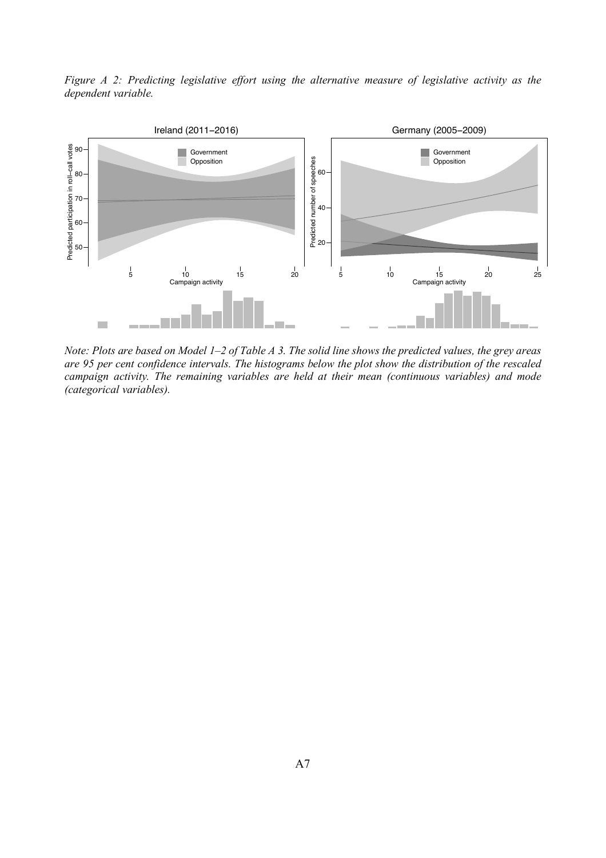*Figure A 2: Predicting legislative effort using the alternative measure of legislative activity as the dependent variable.*



*Note: Plots are based on Model 1–2 of Table A 3. The solid line shows the predicted values, the grey areas are 95 per cent confidence intervals. The histograms below the plot show the distribution of the rescaled campaign activity. The remaining variables are held at their mean (continuous variables) and mode (categorical variables).*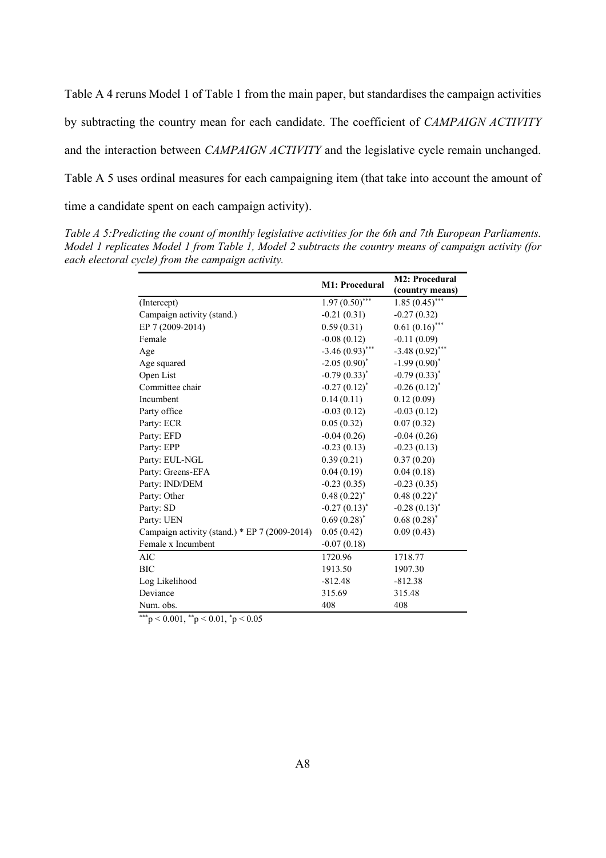Table A 4 reruns Model 1 of Table 1 from the main paper, but standardises the campaign activities by subtracting the country mean for each candidate. The coefficient of *CAMPAIGN ACTIVITY* and the interaction between *CAMPAIGN ACTIVITY* and the legislative cycle remain unchanged. Table A 5 uses ordinal measures for each campaigning item (that take into account the amount of time a candidate spent on each campaign activity).

*Table A 5:Predicting the count of monthly legislative activities for the 6th and 7th European Parliaments. Model 1 replicates Model 1 from Table 1, Model 2 subtracts the country means of campaign activity (for each electoral cycle) from the campaign activity.*

|                                                | M1: Procedural    | <b>M2</b> : Procedural |
|------------------------------------------------|-------------------|------------------------|
|                                                |                   | (country means)        |
| (Intercept)                                    | $1.97(0.50)$ ***  | $1.85(0.45)$ ***       |
| Campaign activity (stand.)                     | $-0.21(0.31)$     | $-0.27(0.32)$          |
| EP 7 (2009-2014)                               | 0.59(0.31)        | $0.61(0.16)$ ***       |
| Female                                         | $-0.08(0.12)$     | $-0.11(0.09)$          |
| Age                                            | $-3.46(0.93)$ *** | $-3.48(0.92)$ ***      |
| Age squared                                    | $-2.05(0.90)^*$   | $-1.99(0.90)$ *        |
| Open List                                      | $-0.79(0.33)^{*}$ | $-0.79(0.33)$ *        |
| Committee chair                                | $-0.27(0.12)^{*}$ | $-0.26(0.12)^{*}$      |
| Incumbent                                      | 0.14(0.11)        | 0.12(0.09)             |
| Party office                                   | $-0.03(0.12)$     | $-0.03(0.12)$          |
| Party: ECR                                     | 0.05(0.32)        | 0.07(0.32)             |
| Party: EFD                                     | $-0.04(0.26)$     | $-0.04(0.26)$          |
| Party: EPP                                     | $-0.23(0.13)$     | $-0.23(0.13)$          |
| Party: EUL-NGL                                 | 0.39(0.21)        | 0.37(0.20)             |
| Party: Greens-EFA                              | 0.04(0.19)        | 0.04(0.18)             |
| Party: IND/DEM                                 | $-0.23(0.35)$     | $-0.23(0.35)$          |
| Party: Other                                   | $0.48(0.22)^{*}$  | $0.48(0.22)^{*}$       |
| Party: SD                                      | $-0.27(0.13)^*$   | $-0.28(0.13)^{*}$      |
| Party: UEN                                     | $0.69(0.28)^*$    | $0.68(0.28)^*$         |
| Campaign activity (stand.) * EP $7(2009-2014)$ | 0.05(0.42)        | 0.09(0.43)             |
| Female x Incumbent                             | $-0.07(0.18)$     |                        |
| <b>AIC</b>                                     | 1720.96           | 1718.77                |
| <b>BIC</b>                                     | 1913.50           | 1907.30                |
| Log Likelihood                                 | $-812.48$         | $-812.38$              |
| Deviance                                       | 315.69            | 315.48                 |
| Num. obs.                                      | 408               | 408                    |

\*\*\*p < 0.001,  $*$ <sup>\*</sup>p < 0.01,  $*$ p < 0.05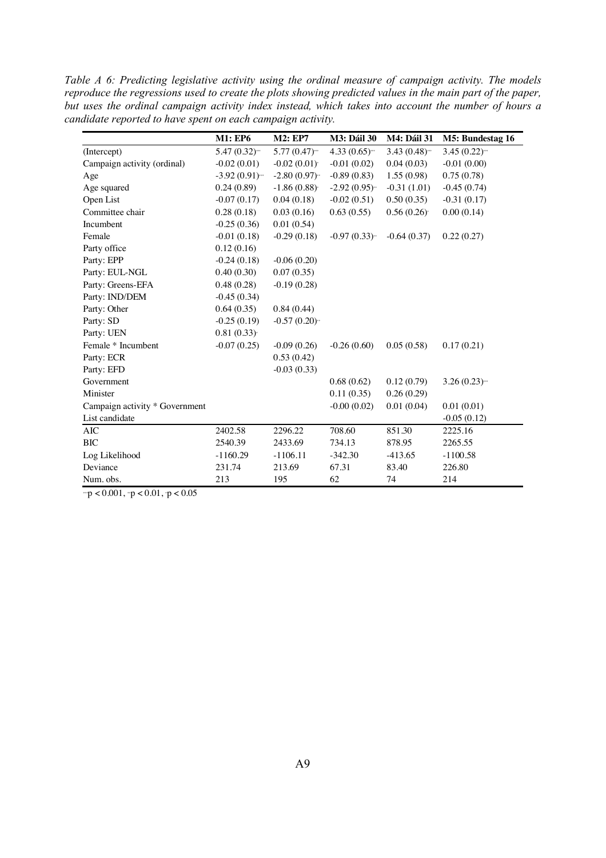*Table A 6: Predicting legislative activity using the ordinal measure of campaign activity. The models reproduce the regressions used to create the plots showing predicted values in the main part of the paper, but uses the ordinal campaign activity index instead, which takes into account the number of hours a candidate reported to have spent on each campaign activity.*

|                                | <b>M1: EP6</b>              | <b>M2: EP7</b>             | <b>M3</b> : Dáil 30        | <b>M4: Dáil 31</b>         | M5: Bundestag 16           |
|--------------------------------|-----------------------------|----------------------------|----------------------------|----------------------------|----------------------------|
| (Intercept)                    | $5.47(0.32)$ <sup>**</sup>  | $5.77(0.47)$ <sup>**</sup> | $4.33(0.65)$ <sup>**</sup> | $3.43(0.48)$ <sup>**</sup> | $3.45(0.22)$ <sup>**</sup> |
| Campaign activity (ordinal)    | $-0.02(0.01)$               | $-0.02(0.01)$ <sup>*</sup> | $-0.01(0.02)$              | 0.04(0.03)                 | $-0.01(0.00)$              |
| Age                            | $-3.92(0.91)$ <sup>**</sup> | $-2.80(0.97)$ <sup>*</sup> | $-0.89(0.83)$              | 1.55(0.98)                 | 0.75(0.78)                 |
| Age squared                    | 0.24(0.89)                  | $-1.86(0.88)$              | $-2.92(0.95)$              | $-0.31(1.01)$              | $-0.45(0.74)$              |
| Open List                      | $-0.07(0.17)$               | 0.04(0.18)                 | $-0.02(0.51)$              | 0.50(0.35)                 | $-0.31(0.17)$              |
| Committee chair                | 0.28(0.18)                  | 0.03(0.16)                 | 0.63(0.55)                 | 0.56(0.26)                 | 0.00(0.14)                 |
| Incumbent                      | $-0.25(0.36)$               | 0.01(0.54)                 |                            |                            |                            |
| Female                         | $-0.01(0.18)$               | $-0.29(0.18)$              | $-0.97(0.33)$ <sup>*</sup> | $-0.64(0.37)$              | 0.22(0.27)                 |
| Party office                   | 0.12(0.16)                  |                            |                            |                            |                            |
| Party: EPP                     | $-0.24(0.18)$               | $-0.06(0.20)$              |                            |                            |                            |
| Party: EUL-NGL                 | 0.40(0.30)                  | 0.07(0.35)                 |                            |                            |                            |
| Party: Greens-EFA              | 0.48(0.28)                  | $-0.19(0.28)$              |                            |                            |                            |
| Party: IND/DEM                 | $-0.45(0.34)$               |                            |                            |                            |                            |
| Party: Other                   | 0.64(0.35)                  | 0.84(0.44)                 |                            |                            |                            |
| Party: SD                      | $-0.25(0.19)$               | $-0.57(0.20)$ <sup>*</sup> |                            |                            |                            |
| Party: UEN                     | 0.81(0.33)                  |                            |                            |                            |                            |
| Female * Incumbent             | $-0.07(0.25)$               | $-0.09(0.26)$              | $-0.26(0.60)$              | 0.05(0.58)                 | 0.17(0.21)                 |
| Party: ECR                     |                             | 0.53(0.42)                 |                            |                            |                            |
| Party: EFD                     |                             | $-0.03(0.33)$              |                            |                            |                            |
| Government                     |                             |                            | 0.68(0.62)                 | 0.12(0.79)                 | $3.26(0.23)$ <sup>**</sup> |
| Minister                       |                             |                            | 0.11(0.35)                 | 0.26(0.29)                 |                            |
| Campaign activity * Government |                             |                            | $-0.00(0.02)$              | 0.01(0.04)                 | 0.01(0.01)                 |
| List candidate                 |                             |                            |                            |                            | $-0.05(0.12)$              |
| <b>AIC</b>                     | 2402.58                     | 2296.22                    | 708.60                     | 851.30                     | 2225.16                    |
| <b>BIC</b>                     | 2540.39                     | 2433.69                    | 734.13                     | 878.95                     | 2265.55                    |
| Log Likelihood                 | $-1160.29$                  | $-1106.11$                 | $-342.30$                  | $-413.65$                  | $-1100.58$                 |
| Deviance                       | 231.74                      | 213.69                     | 67.31                      | 83.40                      | 226.80                     |
| Num. obs.                      | 213                         | 195                        | 62                         | 74                         | 214                        |

" $p < 0.001$ , " $p < 0.01$ , " $p < 0.05$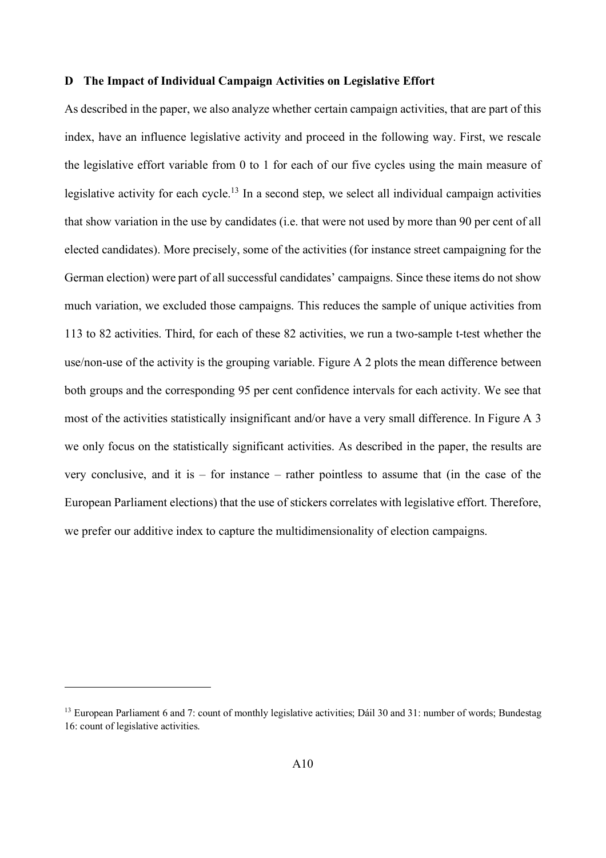#### **D The Impact of Individual Campaign Activities on Legislative Effort**

As described in the paper, we also analyze whether certain campaign activities, that are part of this index, have an influence legislative activity and proceed in the following way. First, we rescale the legislative effort variable from 0 to 1 for each of our five cycles using the main measure of legislative activity for each cycle.<sup>13</sup> In a second step, we select all individual campaign activities that show variation in the use by candidates (i.e. that were not used by more than 90 per cent of all elected candidates). More precisely, some of the activities (for instance street campaigning for the German election) were part of all successful candidates' campaigns. Since these items do not show much variation, we excluded those campaigns. This reduces the sample of unique activities from 113 to 82 activities. Third, for each of these 82 activities, we run a two-sample t-test whether the use/non-use of the activity is the grouping variable. Figure A 2 plots the mean difference between both groups and the corresponding 95 per cent confidence intervals for each activity. We see that most of the activities statistically insignificant and/or have a very small difference. In Figure A 3 we only focus on the statistically significant activities. As described in the paper, the results are very conclusive, and it is  $-$  for instance  $-$  rather pointless to assume that (in the case of the European Parliament elections) that the use of stickers correlates with legislative effort. Therefore, we prefer our additive index to capture the multidimensionality of election campaigns.

1

<sup>&</sup>lt;sup>13</sup> European Parliament 6 and 7: count of monthly legislative activities; Dáil 30 and 31: number of words; Bundestag 16: count of legislative activities.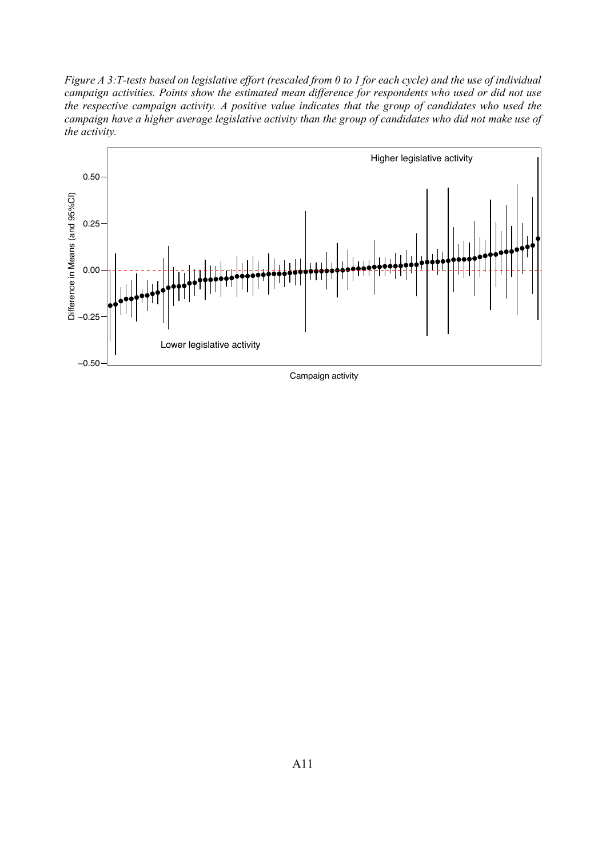*Figure A 3:T-tests based on legislative effort (rescaled from 0 to 1 for each cycle) and the use of individual campaign activities. Points show the estimated mean difference for respondents who used or did not use the respective campaign activity. A positive value indicates that the group of candidates who used the campaign have a higher average legislative activity than the group of candidates who did not make use of the activity.*



Campaign activity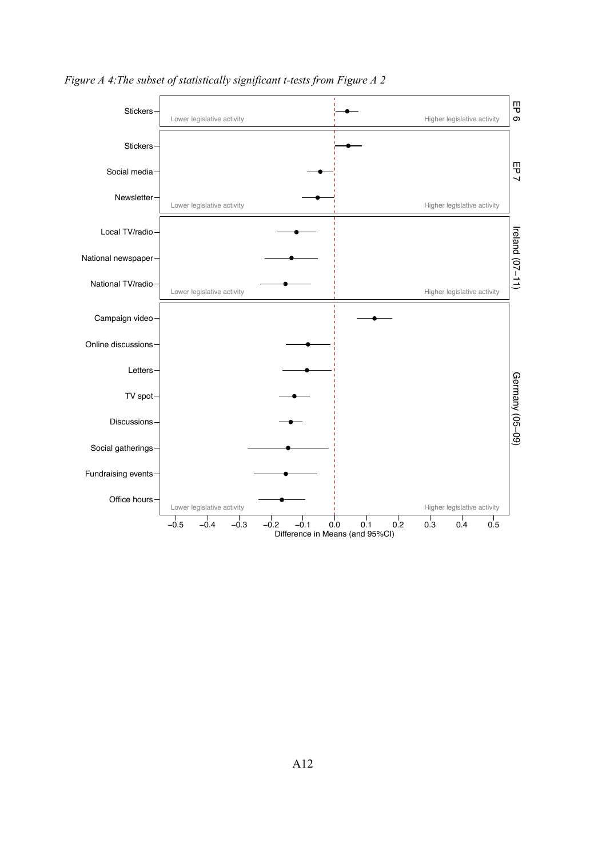

*Figure A 4:The subset of statistically significant t-tests from Figure A 2*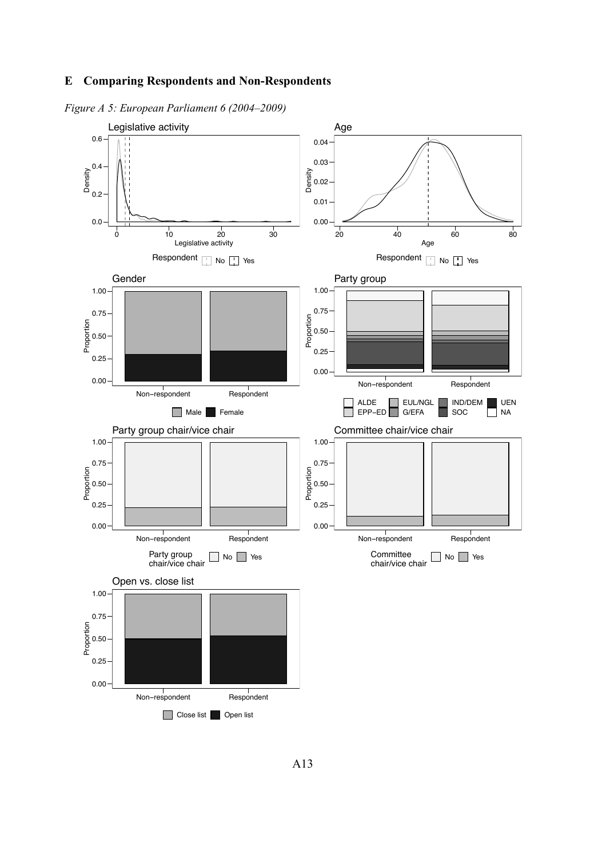### **E Comparing Respondents and Non-Respondents**

*Figure A 5: European Parliament 6 (2004–2009)*

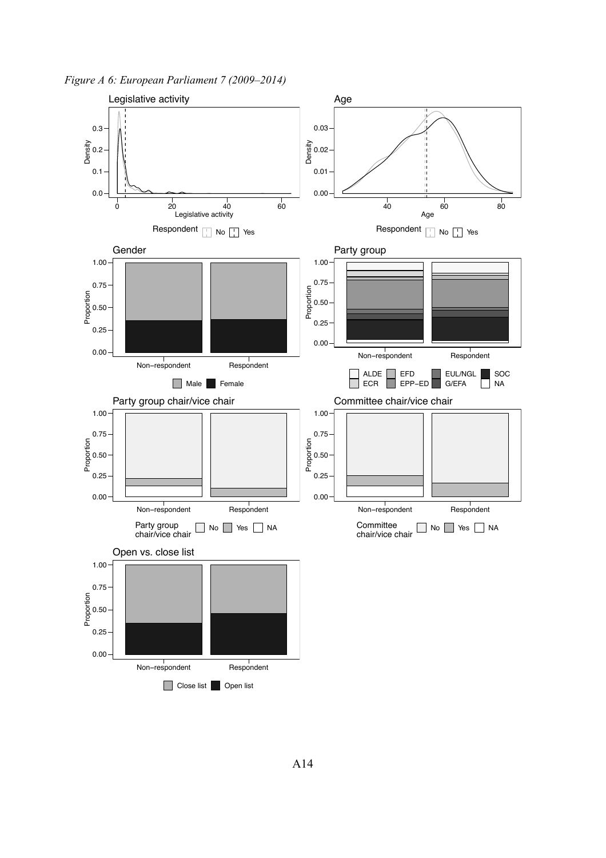*Figure A 6: European Parliament 7 (2009–2014)*

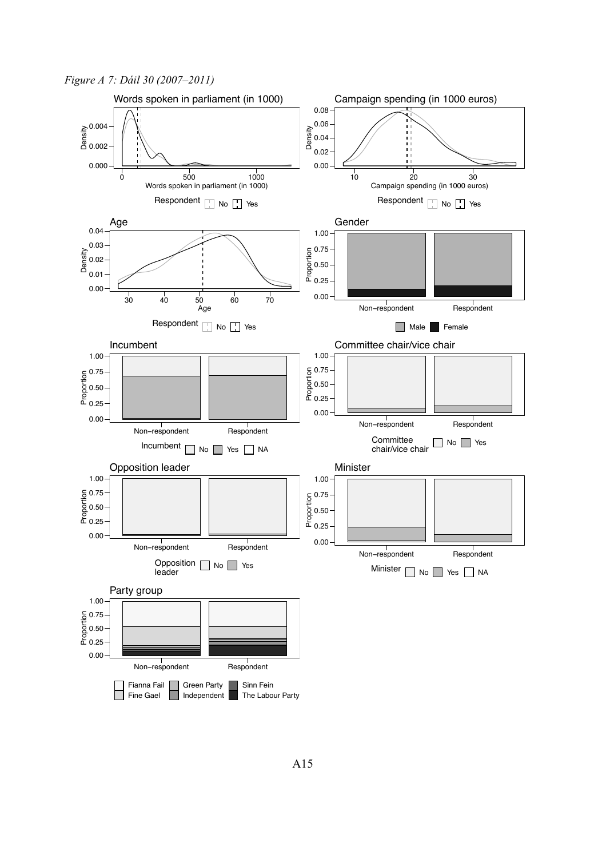*Figure A 7: Dáil 30 (2007–2011)*

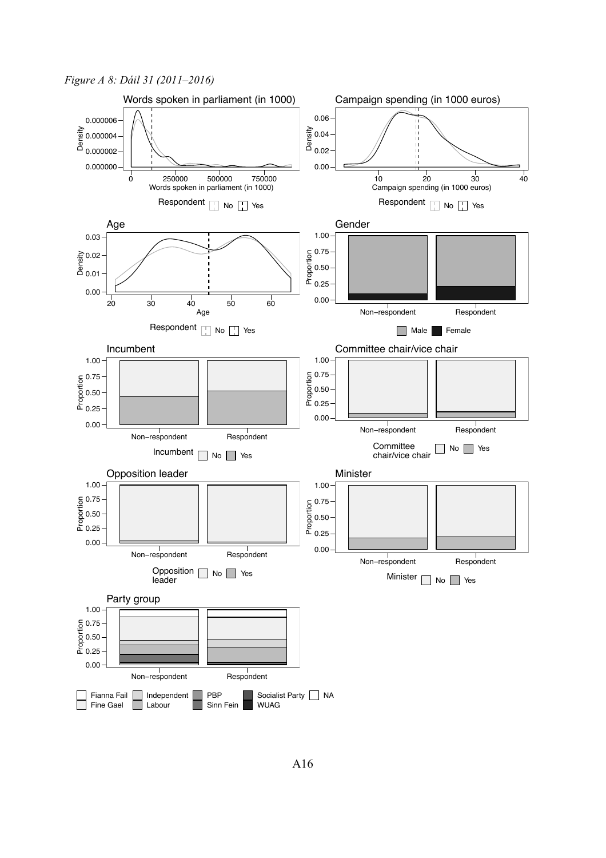